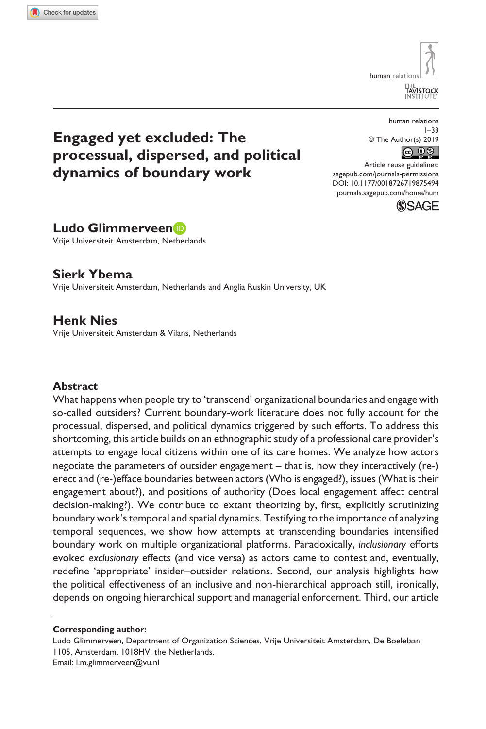**8754[94](http://crossmark.crossref.org/dialog/?doi=10.1177%2F0018726719875494&domain=pdf&date_stamp=2019-10-23)** HUM0010.1177/0018726719875494Human Relations**Glimmerveen et al.**

human relati [HE<br>TAV∣STO¢

# **Engaged yet excluded: The processual, dispersed, and political dynamics of boundary work**

human relations 1–33 © The Author(s) 2019 

DOI: 10.1177/0018726719875494 Article reuse guidelines: [sagepub.com/journals-permissions](https://uk.sagepub.com/en-gb/journals-permissions) [journals.sagepub.com/home/hum](https://journals.sagepub.com/home/hum)



**Ludo Glimmerveen**

Vrije Universiteit Amsterdam, Netherlands

### **Sierk Ybema**

Vrije Universiteit Amsterdam, Netherlands and Anglia Ruskin University, UK

## **Henk Nies**

Vrije Universiteit Amsterdam & Vilans, Netherlands

### **Abstract**

What happens when people try to 'transcend' organizational boundaries and engage with so-called outsiders? Current boundary-work literature does not fully account for the processual, dispersed, and political dynamics triggered by such efforts. To address this shortcoming, this article builds on an ethnographic study of a professional care provider's attempts to engage local citizens within one of its care homes. We analyze how actors negotiate the parameters of outsider engagement – that is, how they interactively (re-) erect and (re-)efface boundaries between actors (Who is engaged?), issues (What is their engagement about?), and positions of authority (Does local engagement affect central decision-making?). We contribute to extant theorizing by, first, explicitly scrutinizing boundary work's temporal and spatial dynamics. Testifying to the importance of analyzing temporal sequences, we show how attempts at transcending boundaries intensified boundary work on multiple organizational platforms. Paradoxically, *inclusionary* efforts evoked *exclusionary* effects (and vice versa) as actors came to contest and, eventually, redefine 'appropriate' insider–outsider relations. Second, our analysis highlights how the political effectiveness of an inclusive and non-hierarchical approach still, ironically, depends on ongoing hierarchical support and managerial enforcement. Third, our article

#### **Corresponding author:**

Ludo Glimmerveen, Department of Organization Sciences, Vrije Universiteit Amsterdam, De Boelelaan 1105, Amsterdam, 1018HV, the Netherlands. Email: [l.m.glimmerveen@vu.nl](mailto:l.m.glimmerveen@vu.nl)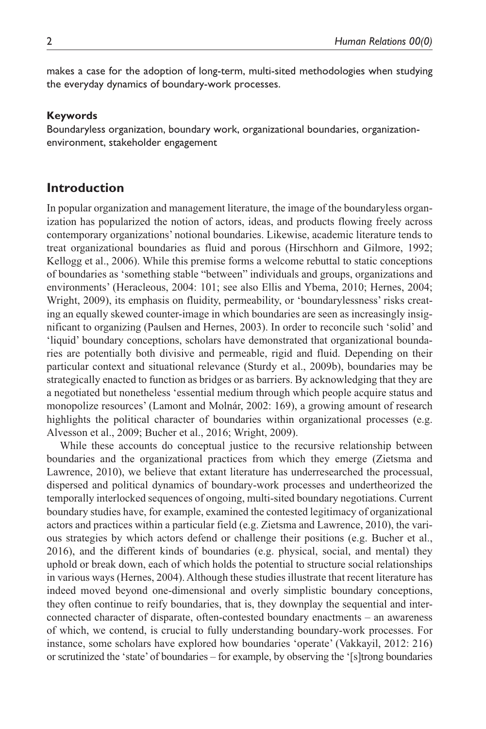makes a case for the adoption of long-term, multi-sited methodologies when studying the everyday dynamics of boundary-work processes.

#### **Keywords**

Boundaryless organization, boundary work, organizational boundaries, organizationenvironment, stakeholder engagement

### **Introduction**

In popular organization and management literature, the image of the boundaryless organization has popularized the notion of actors, ideas, and products flowing freely across contemporary organizations' notional boundaries. Likewise, academic literature tends to treat organizational boundaries as fluid and porous (Hirschhorn and Gilmore, 1992; Kellogg et al., 2006). While this premise forms a welcome rebuttal to static conceptions of boundaries as 'something stable "between" individuals and groups, organizations and environments' (Heracleous, 2004: 101; see also Ellis and Ybema, 2010; Hernes, 2004; Wright, 2009), its emphasis on fluidity, permeability, or 'boundarylessness' risks creating an equally skewed counter-image in which boundaries are seen as increasingly insignificant to organizing (Paulsen and Hernes, 2003). In order to reconcile such 'solid' and 'liquid' boundary conceptions, scholars have demonstrated that organizational boundaries are potentially both divisive and permeable, rigid and fluid. Depending on their particular context and situational relevance (Sturdy et al., 2009b), boundaries may be strategically enacted to function as bridges or as barriers. By acknowledging that they are a negotiated but nonetheless 'essential medium through which people acquire status and monopolize resources' (Lamont and Molnár, 2002: 169), a growing amount of research highlights the political character of boundaries within organizational processes (e.g. Alvesson et al., 2009; Bucher et al., 2016; Wright, 2009).

While these accounts do conceptual justice to the recursive relationship between boundaries and the organizational practices from which they emerge (Zietsma and Lawrence, 2010), we believe that extant literature has underresearched the processual, dispersed and political dynamics of boundary-work processes and undertheorized the temporally interlocked sequences of ongoing, multi-sited boundary negotiations. Current boundary studies have, for example, examined the contested legitimacy of organizational actors and practices within a particular field (e.g. Zietsma and Lawrence, 2010), the various strategies by which actors defend or challenge their positions (e.g. Bucher et al., 2016), and the different kinds of boundaries (e.g. physical, social, and mental) they uphold or break down, each of which holds the potential to structure social relationships in various ways (Hernes, 2004). Although these studies illustrate that recent literature has indeed moved beyond one-dimensional and overly simplistic boundary conceptions, they often continue to reify boundaries, that is, they downplay the sequential and interconnected character of disparate, often-contested boundary enactments – an awareness of which, we contend, is crucial to fully understanding boundary-work processes. For instance, some scholars have explored how boundaries 'operate' (Vakkayil, 2012: 216) or scrutinized the 'state' of boundaries – for example, by observing the '[s]trong boundaries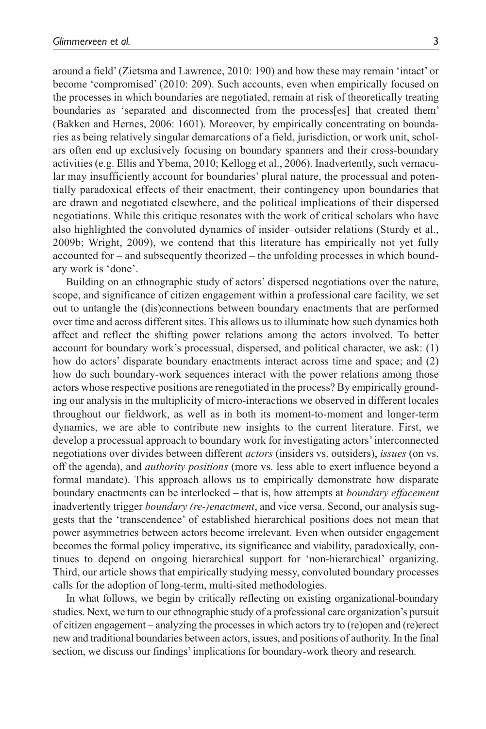around a field' (Zietsma and Lawrence, 2010: 190) and how these may remain 'intact' or become 'compromised' (2010: 209). Such accounts, even when empirically focused on the processes in which boundaries are negotiated, remain at risk of theoretically treating boundaries as 'separated and disconnected from the process[es] that created them' (Bakken and Hernes, 2006: 1601). Moreover, by empirically concentrating on boundaries as being relatively singular demarcations of a field, jurisdiction, or work unit, scholars often end up exclusively focusing on boundary spanners and their cross-boundary activities (e.g. Ellis and Ybema, 2010; Kellogg et al., 2006). Inadvertently, such vernacular may insufficiently account for boundaries' plural nature, the processual and potentially paradoxical effects of their enactment, their contingency upon boundaries that are drawn and negotiated elsewhere, and the political implications of their dispersed negotiations. While this critique resonates with the work of critical scholars who have also highlighted the convoluted dynamics of insider–outsider relations (Sturdy et al., 2009b; Wright, 2009), we contend that this literature has empirically not yet fully accounted for – and subsequently theorized – the unfolding processes in which boundary work is 'done'.

Building on an ethnographic study of actors' dispersed negotiations over the nature, scope, and significance of citizen engagement within a professional care facility, we set out to untangle the (dis)connections between boundary enactments that are performed over time and across different sites. This allows us to illuminate how such dynamics both affect and reflect the shifting power relations among the actors involved. To better account for boundary work's processual, dispersed, and political character, we ask: (1) how do actors' disparate boundary enactments interact across time and space; and (2) how do such boundary-work sequences interact with the power relations among those actors whose respective positions are renegotiated in the process? By empirically grounding our analysis in the multiplicity of micro-interactions we observed in different locales throughout our fieldwork, as well as in both its moment-to-moment and longer-term dynamics, we are able to contribute new insights to the current literature. First, we develop a processual approach to boundary work for investigating actors' interconnected negotiations over divides between different *actors* (insiders vs. outsiders), *issues* (on vs. off the agenda), and *authority positions* (more vs. less able to exert influence beyond a formal mandate). This approach allows us to empirically demonstrate how disparate boundary enactments can be interlocked – that is, how attempts at *boundary effacement* inadvertently trigger *boundary (re-)enactment*, and vice versa. Second, our analysis suggests that the 'transcendence' of established hierarchical positions does not mean that power asymmetries between actors become irrelevant. Even when outsider engagement becomes the formal policy imperative, its significance and viability, paradoxically, continues to depend on ongoing hierarchical support for 'non-hierarchical' organizing. Third, our article shows that empirically studying messy, convoluted boundary processes calls for the adoption of long-term, multi-sited methodologies.

In what follows, we begin by critically reflecting on existing organizational-boundary studies. Next, we turn to our ethnographic study of a professional care organization's pursuit of citizen engagement – analyzing the processes in which actors try to (re)open and (re)erect new and traditional boundaries between actors, issues, and positions of authority. In the final section, we discuss our findings' implications for boundary-work theory and research.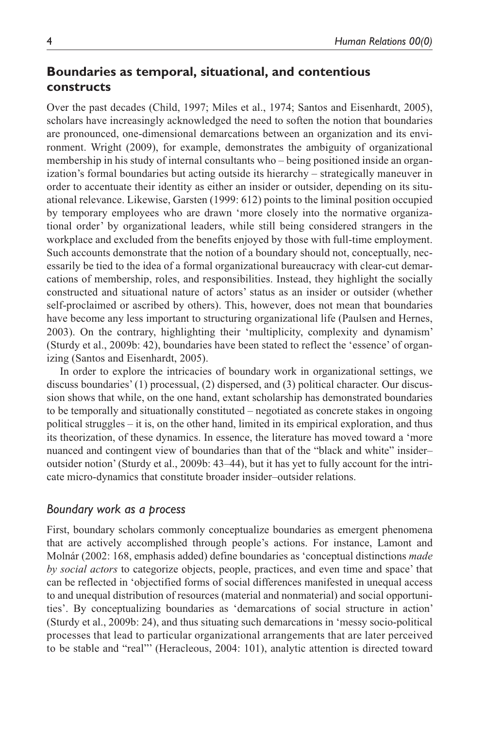## **Boundaries as temporal, situational, and contentious constructs**

Over the past decades (Child, 1997; Miles et al., 1974; Santos and Eisenhardt, 2005), scholars have increasingly acknowledged the need to soften the notion that boundaries are pronounced, one-dimensional demarcations between an organization and its environment. Wright (2009), for example, demonstrates the ambiguity of organizational membership in his study of internal consultants who – being positioned inside an organization's formal boundaries but acting outside its hierarchy – strategically maneuver in order to accentuate their identity as either an insider or outsider, depending on its situational relevance. Likewise, Garsten (1999: 612) points to the liminal position occupied by temporary employees who are drawn 'more closely into the normative organizational order' by organizational leaders, while still being considered strangers in the workplace and excluded from the benefits enjoyed by those with full-time employment. Such accounts demonstrate that the notion of a boundary should not, conceptually, necessarily be tied to the idea of a formal organizational bureaucracy with clear-cut demarcations of membership, roles, and responsibilities. Instead, they highlight the socially constructed and situational nature of actors' status as an insider or outsider (whether self-proclaimed or ascribed by others). This, however, does not mean that boundaries have become any less important to structuring organizational life (Paulsen and Hernes, 2003). On the contrary, highlighting their 'multiplicity, complexity and dynamism' (Sturdy et al., 2009b: 42), boundaries have been stated to reflect the 'essence' of organizing (Santos and Eisenhardt, 2005).

In order to explore the intricacies of boundary work in organizational settings, we discuss boundaries' (1) processual, (2) dispersed, and (3) political character. Our discussion shows that while, on the one hand, extant scholarship has demonstrated boundaries to be temporally and situationally constituted – negotiated as concrete stakes in ongoing political struggles – it is, on the other hand, limited in its empirical exploration, and thus its theorization, of these dynamics. In essence, the literature has moved toward a 'more nuanced and contingent view of boundaries than that of the "black and white" insider– outsider notion' (Sturdy et al., 2009b: 43–44), but it has yet to fully account for the intricate micro-dynamics that constitute broader insider–outsider relations.

### *Boundary work as a process*

First, boundary scholars commonly conceptualize boundaries as emergent phenomena that are actively accomplished through people's actions. For instance, Lamont and Molnár (2002: 168, emphasis added) define boundaries as 'conceptual distinctions *made by social actors* to categorize objects, people, practices, and even time and space' that can be reflected in 'objectified forms of social differences manifested in unequal access to and unequal distribution of resources (material and nonmaterial) and social opportunities'. By conceptualizing boundaries as 'demarcations of social structure in action' (Sturdy et al., 2009b: 24), and thus situating such demarcations in 'messy socio-political processes that lead to particular organizational arrangements that are later perceived to be stable and "real"' (Heracleous, 2004: 101), analytic attention is directed toward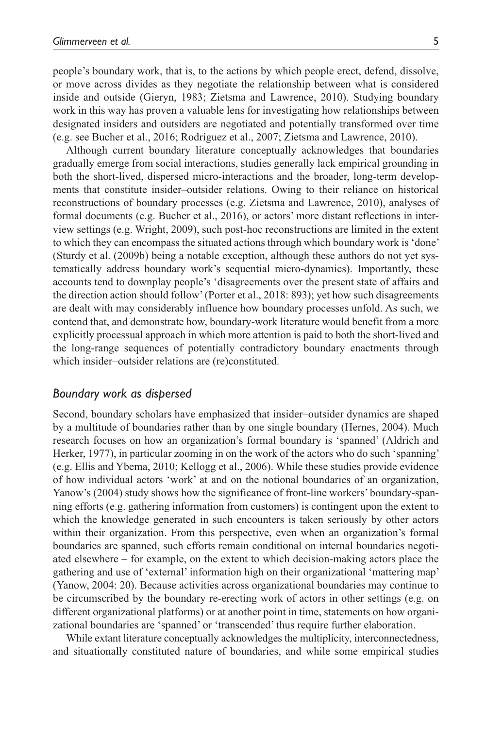people's boundary work, that is, to the actions by which people erect, defend, dissolve, or move across divides as they negotiate the relationship between what is considered inside and outside (Gieryn, 1983; Zietsma and Lawrence, 2010). Studying boundary work in this way has proven a valuable lens for investigating how relationships between designated insiders and outsiders are negotiated and potentially transformed over time (e.g. see Bucher et al., 2016; Rodríguez et al., 2007; Zietsma and Lawrence, 2010).

Although current boundary literature conceptually acknowledges that boundaries gradually emerge from social interactions, studies generally lack empirical grounding in both the short-lived, dispersed micro-interactions and the broader, long-term developments that constitute insider–outsider relations. Owing to their reliance on historical reconstructions of boundary processes (e.g. Zietsma and Lawrence, 2010), analyses of formal documents (e.g. Bucher et al., 2016), or actors' more distant reflections in interview settings (e.g. Wright, 2009), such post-hoc reconstructions are limited in the extent to which they can encompass the situated actions through which boundary work is 'done' (Sturdy et al. (2009b) being a notable exception, although these authors do not yet systematically address boundary work's sequential micro-dynamics). Importantly, these accounts tend to downplay people's 'disagreements over the present state of affairs and the direction action should follow' (Porter et al., 2018: 893); yet how such disagreements are dealt with may considerably influence how boundary processes unfold. As such, we contend that, and demonstrate how, boundary-work literature would benefit from a more explicitly processual approach in which more attention is paid to both the short-lived and the long-range sequences of potentially contradictory boundary enactments through which insider–outsider relations are (re)constituted.

#### *Boundary work as dispersed*

Second, boundary scholars have emphasized that insider–outsider dynamics are shaped by a multitude of boundaries rather than by one single boundary (Hernes, 2004). Much research focuses on how an organization's formal boundary is 'spanned' (Aldrich and Herker, 1977), in particular zooming in on the work of the actors who do such 'spanning' (e.g. Ellis and Ybema, 2010; Kellogg et al., 2006). While these studies provide evidence of how individual actors 'work' at and on the notional boundaries of an organization, Yanow's (2004) study shows how the significance of front-line workers' boundary-spanning efforts (e.g. gathering information from customers) is contingent upon the extent to which the knowledge generated in such encounters is taken seriously by other actors within their organization. From this perspective, even when an organization's formal boundaries are spanned, such efforts remain conditional on internal boundaries negotiated elsewhere – for example, on the extent to which decision-making actors place the gathering and use of 'external' information high on their organizational 'mattering map' (Yanow, 2004: 20). Because activities across organizational boundaries may continue to be circumscribed by the boundary re-erecting work of actors in other settings (e.g. on different organizational platforms) or at another point in time, statements on how organizational boundaries are 'spanned' or 'transcended' thus require further elaboration.

While extant literature conceptually acknowledges the multiplicity, interconnectedness, and situationally constituted nature of boundaries, and while some empirical studies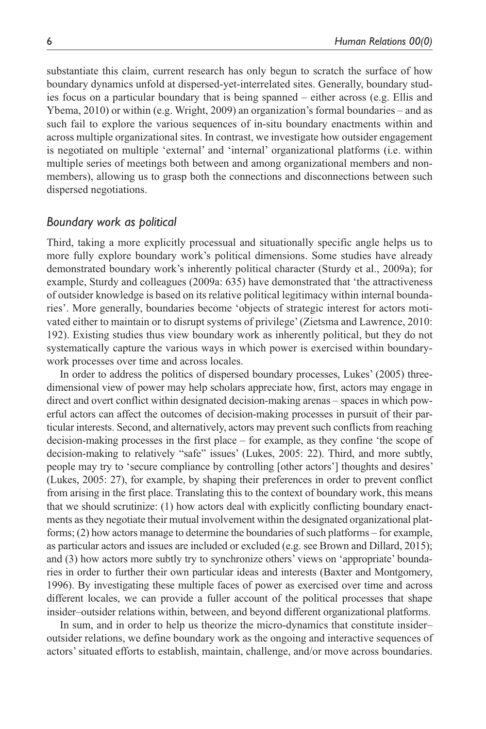substantiate this claim, current research has only begun to scratch the surface of how boundary dynamics unfold at dispersed-yet-interrelated sites. Generally, boundary studies focus on a particular boundary that is being spanned – either across (e.g. Ellis and Ybema, 2010) or within (e.g. Wright, 2009) an organization's formal boundaries – and as such fail to explore the various sequences of in-situ boundary enactments within and across multiple organizational sites. In contrast, we investigate how outsider engagement is negotiated on multiple 'external' and 'internal' organizational platforms (i.e. within multiple series of meetings both between and among organizational members and nonmembers), allowing us to grasp both the connections and disconnections between such dispersed negotiations.

#### *Boundary work as political*

Third, taking a more explicitly processual and situationally specific angle helps us to more fully explore boundary work's political dimensions. Some studies have already demonstrated boundary work's inherently political character (Sturdy et al., 2009a); for example, Sturdy and colleagues (2009a: 635) have demonstrated that 'the attractiveness of outsider knowledge is based on its relative political legitimacy within internal boundaries'. More generally, boundaries become 'objects of strategic interest for actors motivated either to maintain or to disrupt systems of privilege' (Zietsma and Lawrence, 2010: 192). Existing studies thus view boundary work as inherently political, but they do not systematically capture the various ways in which power is exercised within boundarywork processes over time and across locales.

In order to address the politics of dispersed boundary processes, Lukes' (2005) threedimensional view of power may help scholars appreciate how, first, actors may engage in direct and overt conflict within designated decision-making arenas – spaces in which powerful actors can affect the outcomes of decision-making processes in pursuit of their particular interests. Second, and alternatively, actors may prevent such conflicts from reaching decision-making processes in the first place – for example, as they confine 'the scope of decision-making to relatively "safe" issues' (Lukes, 2005: 22). Third, and more subtly, people may try to 'secure compliance by controlling [other actors'] thoughts and desires' (Lukes, 2005: 27), for example, by shaping their preferences in order to prevent conflict from arising in the first place. Translating this to the context of boundary work, this means that we should scrutinize: (1) how actors deal with explicitly conflicting boundary enactments as they negotiate their mutual involvement within the designated organizational platforms; (2) how actors manage to determine the boundaries of such platforms – for example, as particular actors and issues are included or excluded (e.g. see Brown and Dillard, 2015); and (3) how actors more subtly try to synchronize others' views on 'appropriate' boundaries in order to further their own particular ideas and interests (Baxter and Montgomery, 1996). By investigating these multiple faces of power as exercised over time and across different locales, we can provide a fuller account of the political processes that shape insider–outsider relations within, between, and beyond different organizational platforms.

In sum, and in order to help us theorize the micro-dynamics that constitute insider– outsider relations, we define boundary work as the ongoing and interactive sequences of actors' situated efforts to establish, maintain, challenge, and/or move across boundaries.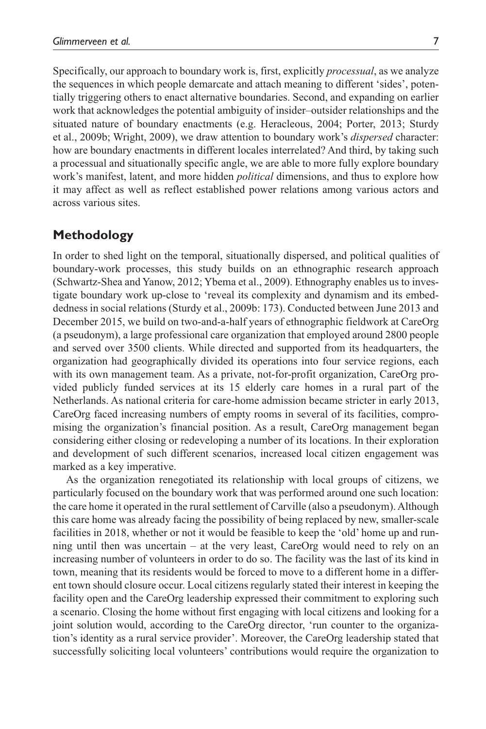Specifically, our approach to boundary work is, first, explicitly *processual*, as we analyze the sequences in which people demarcate and attach meaning to different 'sides', potentially triggering others to enact alternative boundaries. Second, and expanding on earlier work that acknowledges the potential ambiguity of insider–outsider relationships and the situated nature of boundary enactments (e.g. Heracleous, 2004; Porter, 2013; Sturdy et al., 2009b; Wright, 2009), we draw attention to boundary work's *dispersed* character: how are boundary enactments in different locales interrelated? And third, by taking such a processual and situationally specific angle, we are able to more fully explore boundary work's manifest, latent, and more hidden *political* dimensions, and thus to explore how it may affect as well as reflect established power relations among various actors and across various sites.

### **Methodology**

In order to shed light on the temporal, situationally dispersed, and political qualities of boundary-work processes, this study builds on an ethnographic research approach (Schwartz-Shea and Yanow, 2012; Ybema et al., 2009). Ethnography enables us to investigate boundary work up-close to 'reveal its complexity and dynamism and its embeddedness in social relations (Sturdy et al., 2009b: 173). Conducted between June 2013 and December 2015, we build on two-and-a-half years of ethnographic fieldwork at CareOrg (a pseudonym), a large professional care organization that employed around 2800 people and served over 3500 clients. While directed and supported from its headquarters, the organization had geographically divided its operations into four service regions, each with its own management team. As a private, not-for-profit organization, CareOrg provided publicly funded services at its 15 elderly care homes in a rural part of the Netherlands. As national criteria for care-home admission became stricter in early 2013, CareOrg faced increasing numbers of empty rooms in several of its facilities, compromising the organization's financial position. As a result, CareOrg management began considering either closing or redeveloping a number of its locations. In their exploration and development of such different scenarios, increased local citizen engagement was marked as a key imperative.

As the organization renegotiated its relationship with local groups of citizens, we particularly focused on the boundary work that was performed around one such location: the care home it operated in the rural settlement of Carville (also a pseudonym). Although this care home was already facing the possibility of being replaced by new, smaller-scale facilities in 2018, whether or not it would be feasible to keep the 'old' home up and running until then was uncertain – at the very least, CareOrg would need to rely on an increasing number of volunteers in order to do so. The facility was the last of its kind in town, meaning that its residents would be forced to move to a different home in a different town should closure occur. Local citizens regularly stated their interest in keeping the facility open and the CareOrg leadership expressed their commitment to exploring such a scenario. Closing the home without first engaging with local citizens and looking for a joint solution would, according to the CareOrg director, 'run counter to the organization's identity as a rural service provider'. Moreover, the CareOrg leadership stated that successfully soliciting local volunteers' contributions would require the organization to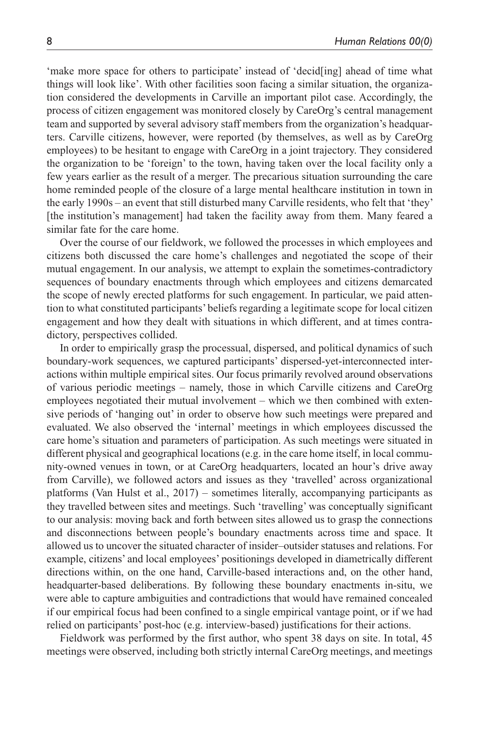'make more space for others to participate' instead of 'decid[ing] ahead of time what things will look like'. With other facilities soon facing a similar situation, the organization considered the developments in Carville an important pilot case. Accordingly, the process of citizen engagement was monitored closely by CareOrg's central management team and supported by several advisory staff members from the organization's headquarters. Carville citizens, however, were reported (by themselves, as well as by CareOrg employees) to be hesitant to engage with CareOrg in a joint trajectory. They considered the organization to be 'foreign' to the town, having taken over the local facility only a few years earlier as the result of a merger. The precarious situation surrounding the care home reminded people of the closure of a large mental healthcare institution in town in the early 1990s – an event that still disturbed many Carville residents, who felt that 'they' [the institution's management] had taken the facility away from them. Many feared a similar fate for the care home.

Over the course of our fieldwork, we followed the processes in which employees and citizens both discussed the care home's challenges and negotiated the scope of their mutual engagement. In our analysis, we attempt to explain the sometimes-contradictory sequences of boundary enactments through which employees and citizens demarcated the scope of newly erected platforms for such engagement. In particular, we paid attention to what constituted participants' beliefs regarding a legitimate scope for local citizen engagement and how they dealt with situations in which different, and at times contradictory, perspectives collided.

In order to empirically grasp the processual, dispersed, and political dynamics of such boundary-work sequences, we captured participants' dispersed-yet-interconnected interactions within multiple empirical sites. Our focus primarily revolved around observations of various periodic meetings – namely, those in which Carville citizens and CareOrg employees negotiated their mutual involvement – which we then combined with extensive periods of 'hanging out' in order to observe how such meetings were prepared and evaluated. We also observed the 'internal' meetings in which employees discussed the care home's situation and parameters of participation. As such meetings were situated in different physical and geographical locations (e.g. in the care home itself, in local community-owned venues in town, or at CareOrg headquarters, located an hour's drive away from Carville), we followed actors and issues as they 'travelled' across organizational platforms (Van Hulst et al., 2017) – sometimes literally, accompanying participants as they travelled between sites and meetings. Such 'travelling' was conceptually significant to our analysis: moving back and forth between sites allowed us to grasp the connections and disconnections between people's boundary enactments across time and space. It allowed us to uncover the situated character of insider–outsider statuses and relations. For example, citizens' and local employees' positionings developed in diametrically different directions within, on the one hand, Carville-based interactions and, on the other hand, headquarter-based deliberations. By following these boundary enactments in-situ, we were able to capture ambiguities and contradictions that would have remained concealed if our empirical focus had been confined to a single empirical vantage point, or if we had relied on participants' post-hoc (e.g. interview-based) justifications for their actions.

Fieldwork was performed by the first author, who spent 38 days on site. In total, 45 meetings were observed, including both strictly internal CareOrg meetings, and meetings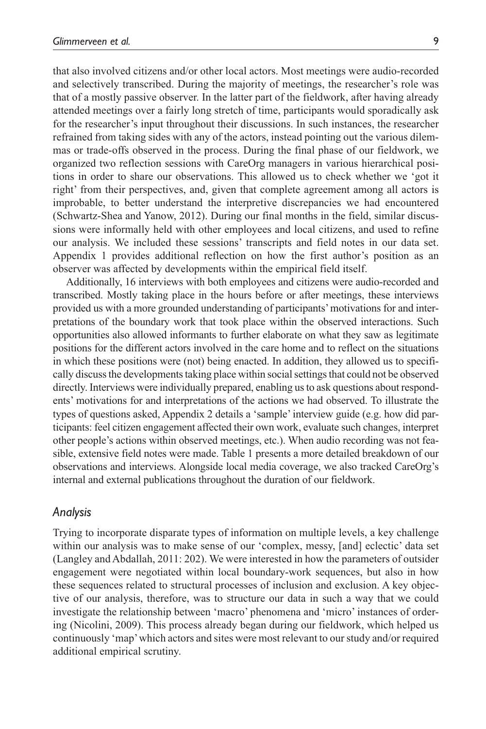that also involved citizens and/or other local actors. Most meetings were audio-recorded and selectively transcribed. During the majority of meetings, the researcher's role was that of a mostly passive observer. In the latter part of the fieldwork, after having already attended meetings over a fairly long stretch of time, participants would sporadically ask for the researcher's input throughout their discussions. In such instances, the researcher refrained from taking sides with any of the actors, instead pointing out the various dilemmas or trade-offs observed in the process. During the final phase of our fieldwork, we organized two reflection sessions with CareOrg managers in various hierarchical positions in order to share our observations. This allowed us to check whether we 'got it right' from their perspectives, and, given that complete agreement among all actors is improbable, to better understand the interpretive discrepancies we had encountered (Schwartz-Shea and Yanow, 2012). During our final months in the field, similar discussions were informally held with other employees and local citizens, and used to refine our analysis. We included these sessions' transcripts and field notes in our data set. Appendix 1 provides additional reflection on how the first author's position as an observer was affected by developments within the empirical field itself.

Additionally, 16 interviews with both employees and citizens were audio-recorded and transcribed. Mostly taking place in the hours before or after meetings, these interviews provided us with a more grounded understanding of participants' motivations for and interpretations of the boundary work that took place within the observed interactions. Such opportunities also allowed informants to further elaborate on what they saw as legitimate positions for the different actors involved in the care home and to reflect on the situations in which these positions were (not) being enacted. In addition, they allowed us to specifically discuss the developments taking place within social settings that could not be observed directly. Interviews were individually prepared, enabling us to ask questions about respondents' motivations for and interpretations of the actions we had observed. To illustrate the types of questions asked, Appendix 2 details a 'sample' interview guide (e.g. how did participants: feel citizen engagement affected their own work, evaluate such changes, interpret other people's actions within observed meetings, etc.). When audio recording was not feasible, extensive field notes were made. Table 1 presents a more detailed breakdown of our observations and interviews. Alongside local media coverage, we also tracked CareOrg's internal and external publications throughout the duration of our fieldwork.

#### *Analysis*

Trying to incorporate disparate types of information on multiple levels, a key challenge within our analysis was to make sense of our 'complex, messy, [and] eclectic' data set (Langley and Abdallah, 2011: 202). We were interested in how the parameters of outsider engagement were negotiated within local boundary-work sequences, but also in how these sequences related to structural processes of inclusion and exclusion. A key objective of our analysis, therefore, was to structure our data in such a way that we could investigate the relationship between 'macro' phenomena and 'micro' instances of ordering (Nicolini, 2009). This process already began during our fieldwork, which helped us continuously 'map' which actors and sites were most relevant to our study and/or required additional empirical scrutiny.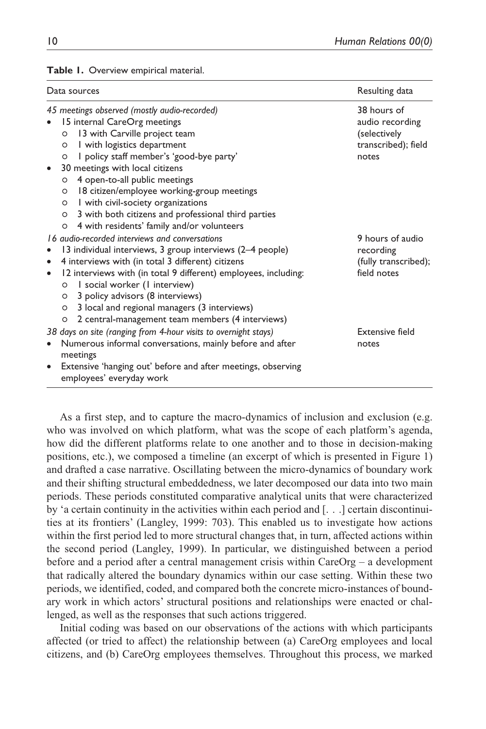| Data sources                                                                                                                                                                                                                                                                                                                                                                                                                                                                                      | Resulting data                                                                 |
|---------------------------------------------------------------------------------------------------------------------------------------------------------------------------------------------------------------------------------------------------------------------------------------------------------------------------------------------------------------------------------------------------------------------------------------------------------------------------------------------------|--------------------------------------------------------------------------------|
| 45 meetings observed (mostly audio-recorded)<br>15 internal CareOrg meetings<br>13 with Carville project team<br>$\circ$<br>I with logistics department<br>$\circ$<br>I policy staff member's 'good-bye party'<br>$\circ$<br>30 meetings with local citizens<br>$\bullet$<br>4 open-to-all public meetings<br>$\circ$<br>18 citizen/employee working-group meetings<br>$\circ$<br>I with civil-society organizations<br>$\circ$<br>3 with both citizens and professional third parties<br>$\circ$ | 38 hours of<br>audio recording<br>(selectively<br>transcribed); field<br>notes |
| 4 with residents' family and/or volunteers<br>O<br>16 audio-recorded interviews and conversations<br>13 individual interviews, 3 group interviews (2-4 people)<br>4 interviews with (in total 3 different) citizens<br>$\bullet$<br>12 interviews with (in total 9 different) employees, including:<br>$\bullet$<br>I social worker (I interview)<br>O<br>3 policy advisors (8 interviews)<br>$\circ$                                                                                             | 9 hours of audio<br>recording<br>(fully transcribed);<br>field notes           |
| 3 local and regional managers (3 interviews)<br>$\circ$<br>2 central-management team members (4 interviews)<br>O<br>38 days on site (ranging from 4-hour visits to overnight stays)<br>Numerous informal conversations, mainly before and after<br>meetings<br>Extensive 'hanging out' before and after meetings, observing<br>$\bullet$<br>employees' everyday work                                                                                                                              | Extensive field<br>notes                                                       |

**Table 1.** Overview empirical material.

As a first step, and to capture the macro-dynamics of inclusion and exclusion (e.g. who was involved on which platform, what was the scope of each platform's agenda, how did the different platforms relate to one another and to those in decision-making positions, etc.), we composed a timeline (an excerpt of which is presented in Figure 1) and drafted a case narrative. Oscillating between the micro-dynamics of boundary work and their shifting structural embeddedness, we later decomposed our data into two main periods. These periods constituted comparative analytical units that were characterized by 'a certain continuity in the activities within each period and [. . .] certain discontinuities at its frontiers' (Langley, 1999: 703). This enabled us to investigate how actions within the first period led to more structural changes that, in turn, affected actions within the second period (Langley, 1999). In particular, we distinguished between a period before and a period after a central management crisis within CareOrg – a development that radically altered the boundary dynamics within our case setting. Within these two periods, we identified, coded, and compared both the concrete micro-instances of boundary work in which actors' structural positions and relationships were enacted or challenged, as well as the responses that such actions triggered.

Initial coding was based on our observations of the actions with which participants affected (or tried to affect) the relationship between (a) CareOrg employees and local citizens, and (b) CareOrg employees themselves. Throughout this process, we marked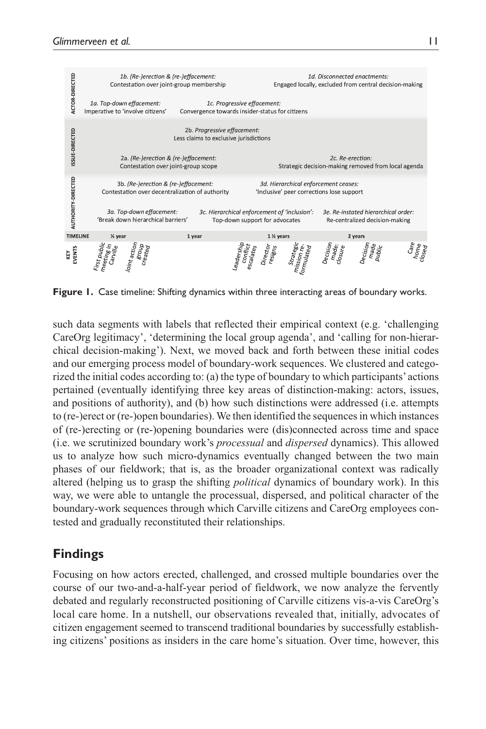

**Figure 1.** Case timeline: Shifting dynamics within three interacting areas of boundary works.

such data segments with labels that reflected their empirical context (e.g. 'challenging CareOrg legitimacy', 'determining the local group agenda', and 'calling for non-hierarchical decision-making'). Next, we moved back and forth between these initial codes and our emerging process model of boundary-work sequences. We clustered and categorized the initial codes according to: (a) the type of boundary to which participants' actions pertained (eventually identifying three key areas of distinction-making: actors, issues, and positions of authority), and (b) how such distinctions were addressed (i.e. attempts to (re-)erect or (re-)open boundaries). We then identified the sequences in which instances of (re-)erecting or (re-)opening boundaries were (dis)connected across time and space (i.e. we scrutinized boundary work's *processual* and *dispersed* dynamics). This allowed us to analyze how such micro-dynamics eventually changed between the two main phases of our fieldwork; that is, as the broader organizational context was radically altered (helping us to grasp the shifting *political* dynamics of boundary work). In this way, we were able to untangle the processual, dispersed, and political character of the boundary-work sequences through which Carville citizens and CareOrg employees contested and gradually reconstituted their relationships.

## **Findings**

Focusing on how actors erected, challenged, and crossed multiple boundaries over the course of our two-and-a-half-year period of fieldwork, we now analyze the fervently debated and regularly reconstructed positioning of Carville citizens vis-a-vis CareOrg's local care home. In a nutshell, our observations revealed that, initially, advocates of citizen engagement seemed to transcend traditional boundaries by successfully establishing citizens' positions as insiders in the care home's situation. Over time, however, this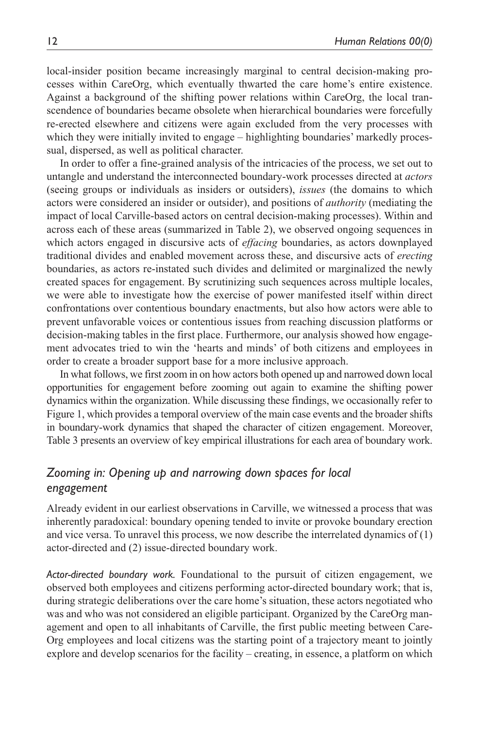local-insider position became increasingly marginal to central decision-making processes within CareOrg, which eventually thwarted the care home's entire existence. Against a background of the shifting power relations within CareOrg, the local transcendence of boundaries became obsolete when hierarchical boundaries were forcefully re-erected elsewhere and citizens were again excluded from the very processes with which they were initially invited to engage – highlighting boundaries' markedly processual, dispersed, as well as political character.

In order to offer a fine-grained analysis of the intricacies of the process, we set out to untangle and understand the interconnected boundary-work processes directed at *actors* (seeing groups or individuals as insiders or outsiders), *issues* (the domains to which actors were considered an insider or outsider), and positions of *authority* (mediating the impact of local Carville-based actors on central decision-making processes). Within and across each of these areas (summarized in Table 2), we observed ongoing sequences in which actors engaged in discursive acts of *effacing* boundaries, as actors downplayed traditional divides and enabled movement across these, and discursive acts of *erecting* boundaries, as actors re-instated such divides and delimited or marginalized the newly created spaces for engagement. By scrutinizing such sequences across multiple locales, we were able to investigate how the exercise of power manifested itself within direct confrontations over contentious boundary enactments, but also how actors were able to prevent unfavorable voices or contentious issues from reaching discussion platforms or decision-making tables in the first place. Furthermore, our analysis showed how engagement advocates tried to win the 'hearts and minds' of both citizens and employees in order to create a broader support base for a more inclusive approach.

In what follows, we first zoom in on how actors both opened up and narrowed down local opportunities for engagement before zooming out again to examine the shifting power dynamics within the organization. While discussing these findings, we occasionally refer to Figure 1, which provides a temporal overview of the main case events and the broader shifts in boundary-work dynamics that shaped the character of citizen engagement. Moreover, Table 3 presents an overview of key empirical illustrations for each area of boundary work.

## *Zooming in: Opening up and narrowing down spaces for local engagement*

Already evident in our earliest observations in Carville, we witnessed a process that was inherently paradoxical: boundary opening tended to invite or provoke boundary erection and vice versa. To unravel this process, we now describe the interrelated dynamics of  $(1)$ actor-directed and (2) issue-directed boundary work.

*Actor-directed boundary work.* Foundational to the pursuit of citizen engagement, we observed both employees and citizens performing actor-directed boundary work; that is, during strategic deliberations over the care home's situation, these actors negotiated who was and who was not considered an eligible participant. Organized by the CareOrg management and open to all inhabitants of Carville, the first public meeting between Care-Org employees and local citizens was the starting point of a trajectory meant to jointly explore and develop scenarios for the facility – creating, in essence, a platform on which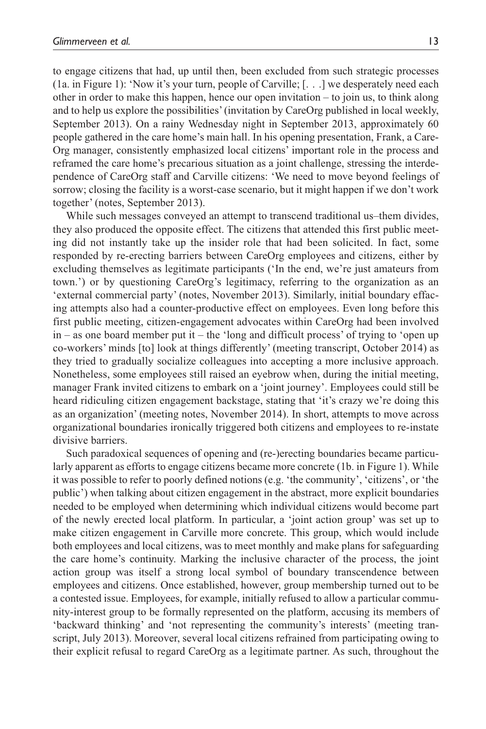to engage citizens that had, up until then, been excluded from such strategic processes (1a. in Figure 1): 'Now it's your turn, people of Carville; [. . .] we desperately need each other in order to make this happen, hence our open invitation – to join us, to think along and to help us explore the possibilities' (invitation by CareOrg published in local weekly, September 2013). On a rainy Wednesday night in September 2013, approximately 60 people gathered in the care home's main hall. In his opening presentation, Frank, a Care-Org manager, consistently emphasized local citizens' important role in the process and reframed the care home's precarious situation as a joint challenge, stressing the interdependence of CareOrg staff and Carville citizens: 'We need to move beyond feelings of sorrow; closing the facility is a worst-case scenario, but it might happen if we don't work together' (notes, September 2013).

While such messages conveyed an attempt to transcend traditional us–them divides, they also produced the opposite effect. The citizens that attended this first public meeting did not instantly take up the insider role that had been solicited. In fact, some responded by re-erecting barriers between CareOrg employees and citizens, either by excluding themselves as legitimate participants ('In the end, we're just amateurs from town.') or by questioning CareOrg's legitimacy, referring to the organization as an 'external commercial party' (notes, November 2013). Similarly, initial boundary effacing attempts also had a counter-productive effect on employees. Even long before this first public meeting, citizen-engagement advocates within CareOrg had been involved in – as one board member put it – the 'long and difficult process' of trying to 'open up co-workers' minds [to] look at things differently' (meeting transcript, October 2014) as they tried to gradually socialize colleagues into accepting a more inclusive approach. Nonetheless, some employees still raised an eyebrow when, during the initial meeting, manager Frank invited citizens to embark on a 'joint journey'. Employees could still be heard ridiculing citizen engagement backstage, stating that 'it's crazy we're doing this as an organization' (meeting notes, November 2014). In short, attempts to move across organizational boundaries ironically triggered both citizens and employees to re-instate divisive barriers.

Such paradoxical sequences of opening and (re-)erecting boundaries became particularly apparent as efforts to engage citizens became more concrete (1b. in Figure 1). While it was possible to refer to poorly defined notions (e.g. 'the community', 'citizens', or 'the public') when talking about citizen engagement in the abstract, more explicit boundaries needed to be employed when determining which individual citizens would become part of the newly erected local platform. In particular, a 'joint action group' was set up to make citizen engagement in Carville more concrete. This group, which would include both employees and local citizens, was to meet monthly and make plans for safeguarding the care home's continuity. Marking the inclusive character of the process, the joint action group was itself a strong local symbol of boundary transcendence between employees and citizens. Once established, however, group membership turned out to be a contested issue. Employees, for example, initially refused to allow a particular community-interest group to be formally represented on the platform, accusing its members of 'backward thinking' and 'not representing the community's interests' (meeting transcript, July 2013). Moreover, several local citizens refrained from participating owing to their explicit refusal to regard CareOrg as a legitimate partner. As such, throughout the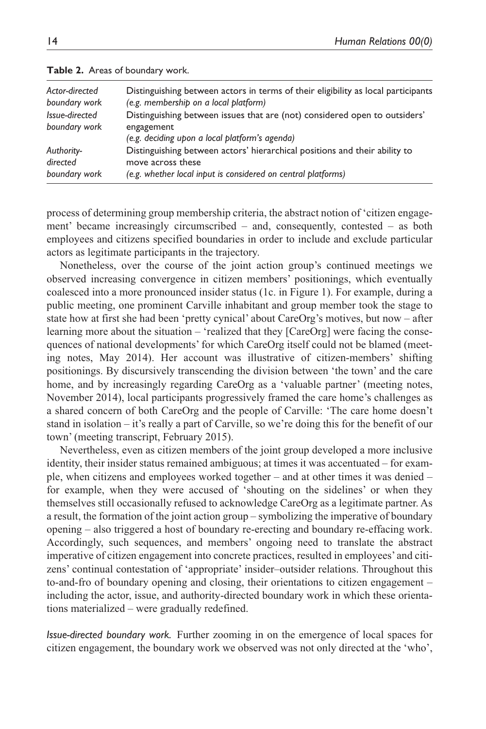| Actor-directed<br>boundary work<br>Issue-directed<br>boundary work | Distinguishing between actors in terms of their eligibility as local participants<br>(e.g. membership on a local platform)<br>Distinguishing between issues that are (not) considered open to outsiders' |
|--------------------------------------------------------------------|----------------------------------------------------------------------------------------------------------------------------------------------------------------------------------------------------------|
|                                                                    | engagement<br>(e.g. deciding upon a local platform's agenda)                                                                                                                                             |
| Authority-<br>directed<br>boundary work                            | Distinguishing between actors' hierarchical positions and their ability to<br>move across these<br>(e.g. whether local input is considered on central platforms)                                         |

|  |  | Table 2. Areas of boundary work. |  |
|--|--|----------------------------------|--|
|--|--|----------------------------------|--|

process of determining group membership criteria, the abstract notion of 'citizen engagement' became increasingly circumscribed – and, consequently, contested – as both employees and citizens specified boundaries in order to include and exclude particular actors as legitimate participants in the trajectory.

Nonetheless, over the course of the joint action group's continued meetings we observed increasing convergence in citizen members' positionings, which eventually coalesced into a more pronounced insider status (1c. in Figure 1). For example, during a public meeting, one prominent Carville inhabitant and group member took the stage to state how at first she had been 'pretty cynical' about CareOrg's motives, but now – after learning more about the situation – 'realized that they [CareOrg] were facing the consequences of national developments' for which CareOrg itself could not be blamed (meeting notes, May 2014). Her account was illustrative of citizen-members' shifting positionings. By discursively transcending the division between 'the town' and the care home, and by increasingly regarding CareOrg as a 'valuable partner' (meeting notes, November 2014), local participants progressively framed the care home's challenges as a shared concern of both CareOrg and the people of Carville: 'The care home doesn't stand in isolation – it's really a part of Carville, so we're doing this for the benefit of our town' (meeting transcript, February 2015).

Nevertheless, even as citizen members of the joint group developed a more inclusive identity, their insider status remained ambiguous; at times it was accentuated – for example, when citizens and employees worked together – and at other times it was denied – for example, when they were accused of 'shouting on the sidelines' or when they themselves still occasionally refused to acknowledge CareOrg as a legitimate partner. As a result, the formation of the joint action group – symbolizing the imperative of boundary opening – also triggered a host of boundary re-erecting and boundary re-effacing work. Accordingly, such sequences, and members' ongoing need to translate the abstract imperative of citizen engagement into concrete practices, resulted in employees' and citizens' continual contestation of 'appropriate' insider–outsider relations. Throughout this to-and-fro of boundary opening and closing, their orientations to citizen engagement – including the actor, issue, and authority-directed boundary work in which these orientations materialized – were gradually redefined.

*Issue-directed boundary work.* Further zooming in on the emergence of local spaces for citizen engagement, the boundary work we observed was not only directed at the 'who',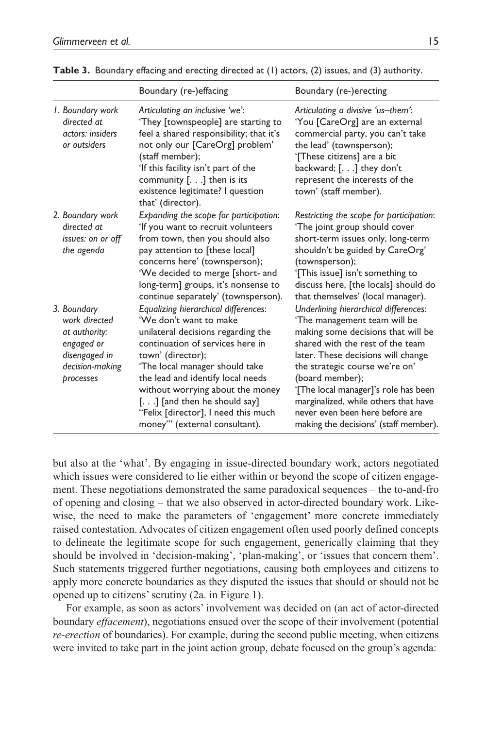|                                                                                                              | Boundary (re-)effacing                                                                                                                                                                                                                                                                                                                                                            | Boundary (re-)erecting                                                                                                                                                                                                                                                                                                                                                                                 |
|--------------------------------------------------------------------------------------------------------------|-----------------------------------------------------------------------------------------------------------------------------------------------------------------------------------------------------------------------------------------------------------------------------------------------------------------------------------------------------------------------------------|--------------------------------------------------------------------------------------------------------------------------------------------------------------------------------------------------------------------------------------------------------------------------------------------------------------------------------------------------------------------------------------------------------|
| I. Boundary work<br>directed at<br>actors: insiders<br>or outsiders                                          | Articulating an inclusive 'we':<br>'They [townspeople] are starting to<br>feel a shared responsibility; that it's<br>not only our [CareOrg] problem'<br>(staff member);<br>'If this facility isn't part of the<br>community $[]$ then is its<br>existence legitimate? I question<br>that' (director).                                                                             | Articulating a divisive 'us-them':<br>'You [CareOrg] are an external<br>commercial party, you can't take<br>the lead' (townsperson);<br>'[These citizens] are a bit<br>backward; $[]$ they don't<br>represent the interests of the<br>town' (staff member).                                                                                                                                            |
| 2. Boundary work<br>directed at<br>issues: on or off<br>the agenda                                           | Expanding the scope for participation:<br>'If you want to recruit volunteers<br>from town, then you should also<br>pay attention to [these local]<br>concerns here' (townsperson);<br>'We decided to merge [short- and<br>long-term] groups, it's nonsense to<br>continue separately' (townsperson).                                                                              | Restricting the scope for participation:<br>'The joint group should cover<br>short-term issues only, long-term<br>shouldn't be guided by CareOrg'<br>(townsperson);<br>'[This issue] isn't something to<br>discuss here, [the locals] should do<br>that themselves' (local manager).                                                                                                                   |
| 3. Boundary<br>work directed<br>at authority:<br>engaged or<br>disengaged in<br>decision-making<br>processes | Equalizing hierarchical differences:<br>'We don't want to make<br>unilateral decisions regarding the<br>continuation of services here in<br>town' (director);<br>'The local manager should take<br>the lead and identify local needs<br>without worrying about the money<br>[.] [and then he should say]<br>"Felix [director], I need this much<br>money"" (external consultant). | Underlining hierarchical differences:<br>'The management team will be<br>making some decisions that will be<br>shared with the rest of the team<br>later. These decisions will change<br>the strategic course we're on'<br>(board member);<br>'[The local manager]'s role has been<br>marginalized, while others that have<br>never even been here before are<br>making the decisions' (staff member). |

**Table 3.** Boundary effacing and erecting directed at (1) actors, (2) issues, and (3) authority.

but also at the 'what'. By engaging in issue-directed boundary work, actors negotiated which issues were considered to lie either within or beyond the scope of citizen engagement. These negotiations demonstrated the same paradoxical sequences – the to-and-fro of opening and closing – that we also observed in actor-directed boundary work. Likewise, the need to make the parameters of 'engagement' more concrete immediately raised contestation. Advocates of citizen engagement often used poorly defined concepts to delineate the legitimate scope for such engagement, generically claiming that they should be involved in 'decision-making', 'plan-making', or 'issues that concern them'. Such statements triggered further negotiations, causing both employees and citizens to apply more concrete boundaries as they disputed the issues that should or should not be opened up to citizens' scrutiny (2a. in Figure 1).

For example, as soon as actors' involvement was decided on (an act of actor-directed boundary *effacement*), negotiations ensued over the scope of their involvement (potential *re-erection* of boundaries). For example, during the second public meeting, when citizens were invited to take part in the joint action group, debate focused on the group's agenda: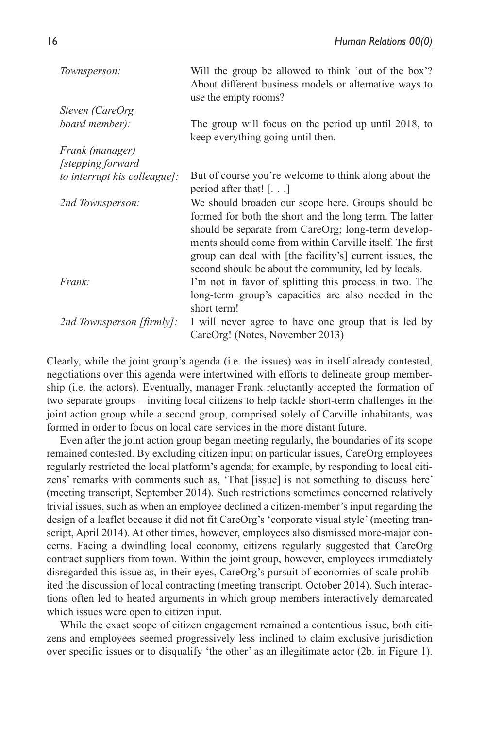| Townsperson:                 | Will the group be allowed to think 'out of the box'?<br>About different business models or alternative ways to<br>use the empty rooms?                                                                                                                                                                                                               |
|------------------------------|------------------------------------------------------------------------------------------------------------------------------------------------------------------------------------------------------------------------------------------------------------------------------------------------------------------------------------------------------|
| Steven (CareOrg              |                                                                                                                                                                                                                                                                                                                                                      |
| board member):               | The group will focus on the period up until 2018, to<br>keep everything going until then.                                                                                                                                                                                                                                                            |
| Frank (manager)              |                                                                                                                                                                                                                                                                                                                                                      |
| [stepping forward]           |                                                                                                                                                                                                                                                                                                                                                      |
| to interrupt his colleague]: | But of course you're welcome to think along about the<br>period after that! $[\dots]$                                                                                                                                                                                                                                                                |
| 2nd Townsperson:             | We should broaden our scope here. Groups should be<br>formed for both the short and the long term. The latter<br>should be separate from CareOrg; long-term develop-<br>ments should come from within Carville itself. The first<br>group can deal with [the facility's] current issues, the<br>second should be about the community, led by locals. |
| Frank:                       | I'm not in favor of splitting this process in two. The<br>long-term group's capacities are also needed in the<br>short term!                                                                                                                                                                                                                         |
| 2nd Townsperson [firmly]:    | I will never agree to have one group that is led by<br>CareOrg! (Notes, November 2013)                                                                                                                                                                                                                                                               |

Clearly, while the joint group's agenda (i.e. the issues) was in itself already contested, negotiations over this agenda were intertwined with efforts to delineate group membership (i.e. the actors). Eventually, manager Frank reluctantly accepted the formation of two separate groups – inviting local citizens to help tackle short-term challenges in the joint action group while a second group, comprised solely of Carville inhabitants, was formed in order to focus on local care services in the more distant future.

Even after the joint action group began meeting regularly, the boundaries of its scope remained contested. By excluding citizen input on particular issues, CareOrg employees regularly restricted the local platform's agenda; for example, by responding to local citizens' remarks with comments such as, 'That [issue] is not something to discuss here' (meeting transcript, September 2014). Such restrictions sometimes concerned relatively trivial issues, such as when an employee declined a citizen-member's input regarding the design of a leaflet because it did not fit CareOrg's 'corporate visual style' (meeting transcript, April 2014). At other times, however, employees also dismissed more-major concerns. Facing a dwindling local economy, citizens regularly suggested that CareOrg contract suppliers from town. Within the joint group, however, employees immediately disregarded this issue as, in their eyes, CareOrg's pursuit of economies of scale prohibited the discussion of local contracting (meeting transcript, October 2014). Such interactions often led to heated arguments in which group members interactively demarcated which issues were open to citizen input.

While the exact scope of citizen engagement remained a contentious issue, both citizens and employees seemed progressively less inclined to claim exclusive jurisdiction over specific issues or to disqualify 'the other' as an illegitimate actor (2b. in Figure 1).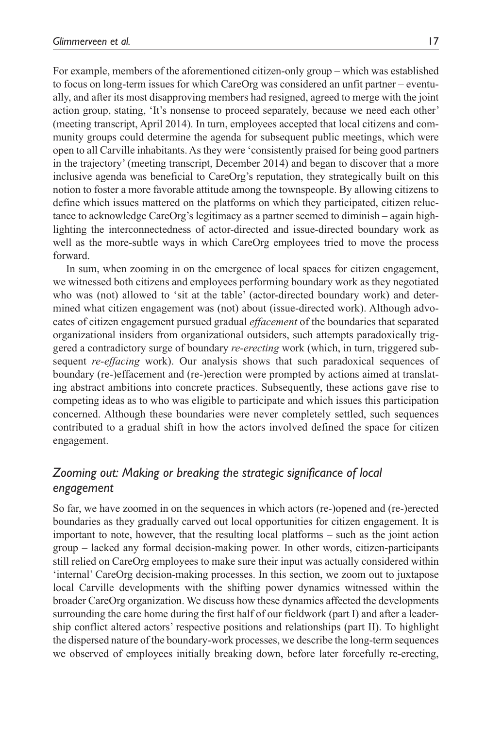For example, members of the aforementioned citizen-only group – which was established to focus on long-term issues for which CareOrg was considered an unfit partner – eventually, and after its most disapproving members had resigned, agreed to merge with the joint action group, stating, 'It's nonsense to proceed separately, because we need each other' (meeting transcript, April 2014). In turn, employees accepted that local citizens and community groups could determine the agenda for subsequent public meetings, which were open to all Carville inhabitants. As they were 'consistently praised for being good partners in the trajectory' (meeting transcript, December 2014) and began to discover that a more inclusive agenda was beneficial to CareOrg's reputation, they strategically built on this notion to foster a more favorable attitude among the townspeople. By allowing citizens to define which issues mattered on the platforms on which they participated, citizen reluctance to acknowledge CareOrg's legitimacy as a partner seemed to diminish – again highlighting the interconnectedness of actor-directed and issue-directed boundary work as well as the more-subtle ways in which CareOrg employees tried to move the process forward.

In sum, when zooming in on the emergence of local spaces for citizen engagement, we witnessed both citizens and employees performing boundary work as they negotiated who was (not) allowed to 'sit at the table' (actor-directed boundary work) and determined what citizen engagement was (not) about (issue-directed work). Although advocates of citizen engagement pursued gradual *effacement* of the boundaries that separated organizational insiders from organizational outsiders, such attempts paradoxically triggered a contradictory surge of boundary *re-erecting* work (which, in turn, triggered subsequent *re-effacing* work). Our analysis shows that such paradoxical sequences of boundary (re-)effacement and (re-)erection were prompted by actions aimed at translating abstract ambitions into concrete practices. Subsequently, these actions gave rise to competing ideas as to who was eligible to participate and which issues this participation concerned. Although these boundaries were never completely settled, such sequences contributed to a gradual shift in how the actors involved defined the space for citizen engagement.

## *Zooming out: Making or breaking the strategic significance of local engagement*

So far, we have zoomed in on the sequences in which actors (re-)opened and (re-)erected boundaries as they gradually carved out local opportunities for citizen engagement. It is important to note, however, that the resulting local platforms – such as the joint action group – lacked any formal decision-making power. In other words, citizen-participants still relied on CareOrg employees to make sure their input was actually considered within 'internal' CareOrg decision-making processes. In this section, we zoom out to juxtapose local Carville developments with the shifting power dynamics witnessed within the broader CareOrg organization. We discuss how these dynamics affected the developments surrounding the care home during the first half of our fieldwork (part I) and after a leadership conflict altered actors' respective positions and relationships (part II). To highlight the dispersed nature of the boundary-work processes, we describe the long-term sequences we observed of employees initially breaking down, before later forcefully re-erecting,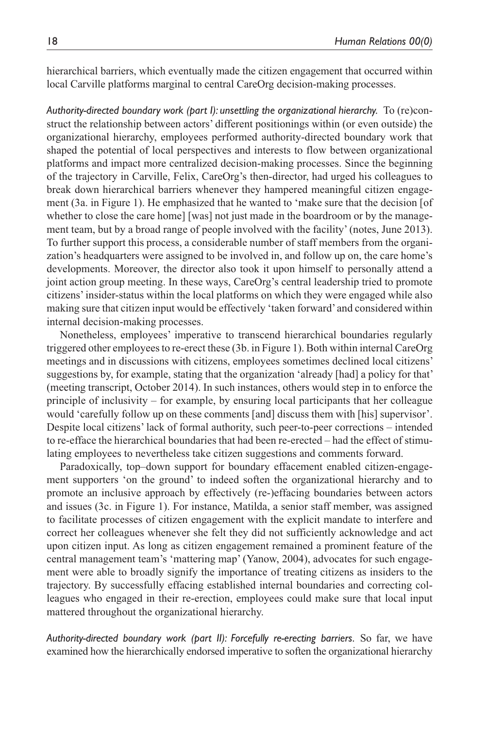hierarchical barriers, which eventually made the citizen engagement that occurred within local Carville platforms marginal to central CareOrg decision-making processes.

*Authority-directed boundary work (part I): unsettling the organizational hierarchy.* To (re)construct the relationship between actors' different positionings within (or even outside) the organizational hierarchy, employees performed authority-directed boundary work that shaped the potential of local perspectives and interests to flow between organizational platforms and impact more centralized decision-making processes. Since the beginning of the trajectory in Carville, Felix, CareOrg's then-director, had urged his colleagues to break down hierarchical barriers whenever they hampered meaningful citizen engagement (3a. in Figure 1). He emphasized that he wanted to 'make sure that the decision [of whether to close the care home] [was] not just made in the boardroom or by the management team, but by a broad range of people involved with the facility' (notes, June 2013). To further support this process, a considerable number of staff members from the organization's headquarters were assigned to be involved in, and follow up on, the care home's developments. Moreover, the director also took it upon himself to personally attend a joint action group meeting. In these ways, CareOrg's central leadership tried to promote citizens' insider-status within the local platforms on which they were engaged while also making sure that citizen input would be effectively 'taken forward' and considered within internal decision-making processes.

Nonetheless, employees' imperative to transcend hierarchical boundaries regularly triggered other employees to re-erect these (3b. in Figure 1). Both within internal CareOrg meetings and in discussions with citizens, employees sometimes declined local citizens' suggestions by, for example, stating that the organization 'already [had] a policy for that' (meeting transcript, October 2014). In such instances, others would step in to enforce the principle of inclusivity – for example, by ensuring local participants that her colleague would 'carefully follow up on these comments [and] discuss them with [his] supervisor'. Despite local citizens' lack of formal authority, such peer-to-peer corrections – intended to re-efface the hierarchical boundaries that had been re-erected – had the effect of stimulating employees to nevertheless take citizen suggestions and comments forward.

Paradoxically, top–down support for boundary effacement enabled citizen-engagement supporters 'on the ground' to indeed soften the organizational hierarchy and to promote an inclusive approach by effectively (re-)effacing boundaries between actors and issues (3c. in Figure 1). For instance, Matilda, a senior staff member, was assigned to facilitate processes of citizen engagement with the explicit mandate to interfere and correct her colleagues whenever she felt they did not sufficiently acknowledge and act upon citizen input. As long as citizen engagement remained a prominent feature of the central management team's 'mattering map' (Yanow, 2004), advocates for such engagement were able to broadly signify the importance of treating citizens as insiders to the trajectory. By successfully effacing established internal boundaries and correcting colleagues who engaged in their re-erection, employees could make sure that local input mattered throughout the organizational hierarchy.

*Authority-directed boundary work (part II): Forcefully re-erecting barriers.* So far, we have examined how the hierarchically endorsed imperative to soften the organizational hierarchy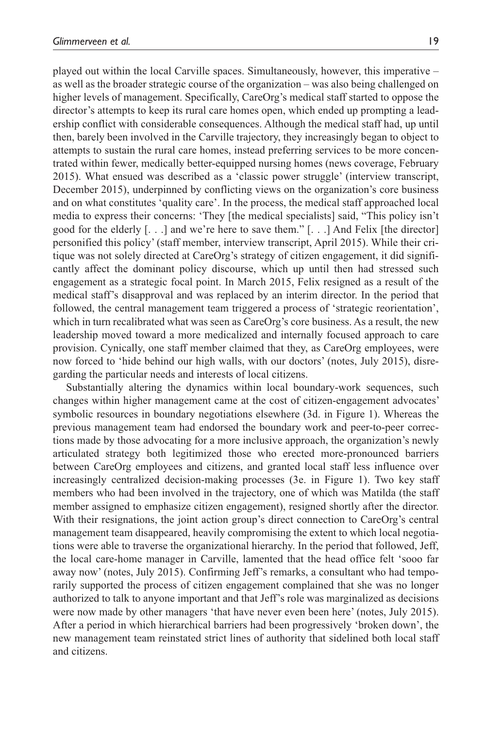played out within the local Carville spaces. Simultaneously, however, this imperative – as well as the broader strategic course of the organization – was also being challenged on higher levels of management. Specifically, CareOrg's medical staff started to oppose the director's attempts to keep its rural care homes open, which ended up prompting a leadership conflict with considerable consequences. Although the medical staff had, up until then, barely been involved in the Carville trajectory, they increasingly began to object to attempts to sustain the rural care homes, instead preferring services to be more concentrated within fewer, medically better-equipped nursing homes (news coverage, February 2015). What ensued was described as a 'classic power struggle' (interview transcript, December 2015), underpinned by conflicting views on the organization's core business and on what constitutes 'quality care'. In the process, the medical staff approached local media to express their concerns: 'They [the medical specialists] said, "This policy isn't good for the elderly  $[\ldots]$  and we're here to save them."  $[\ldots]$  And Felix [the director] personified this policy' (staff member, interview transcript, April 2015). While their critique was not solely directed at CareOrg's strategy of citizen engagement, it did significantly affect the dominant policy discourse, which up until then had stressed such engagement as a strategic focal point. In March 2015, Felix resigned as a result of the medical staff's disapproval and was replaced by an interim director. In the period that followed, the central management team triggered a process of 'strategic reorientation', which in turn recalibrated what was seen as CareOrg's core business. As a result, the new leadership moved toward a more medicalized and internally focused approach to care provision. Cynically, one staff member claimed that they, as CareOrg employees, were now forced to 'hide behind our high walls, with our doctors' (notes, July 2015), disregarding the particular needs and interests of local citizens.

Substantially altering the dynamics within local boundary-work sequences, such changes within higher management came at the cost of citizen-engagement advocates' symbolic resources in boundary negotiations elsewhere (3d. in Figure 1). Whereas the previous management team had endorsed the boundary work and peer-to-peer corrections made by those advocating for a more inclusive approach, the organization's newly articulated strategy both legitimized those who erected more-pronounced barriers between CareOrg employees and citizens, and granted local staff less influence over increasingly centralized decision-making processes (3e. in Figure 1). Two key staff members who had been involved in the trajectory, one of which was Matilda (the staff member assigned to emphasize citizen engagement), resigned shortly after the director. With their resignations, the joint action group's direct connection to CareOrg's central management team disappeared, heavily compromising the extent to which local negotiations were able to traverse the organizational hierarchy. In the period that followed, Jeff, the local care-home manager in Carville, lamented that the head office felt 'sooo far away now' (notes, July 2015). Confirming Jeff's remarks, a consultant who had temporarily supported the process of citizen engagement complained that she was no longer authorized to talk to anyone important and that Jeff's role was marginalized as decisions were now made by other managers 'that have never even been here' (notes, July 2015). After a period in which hierarchical barriers had been progressively 'broken down', the new management team reinstated strict lines of authority that sidelined both local staff and citizens.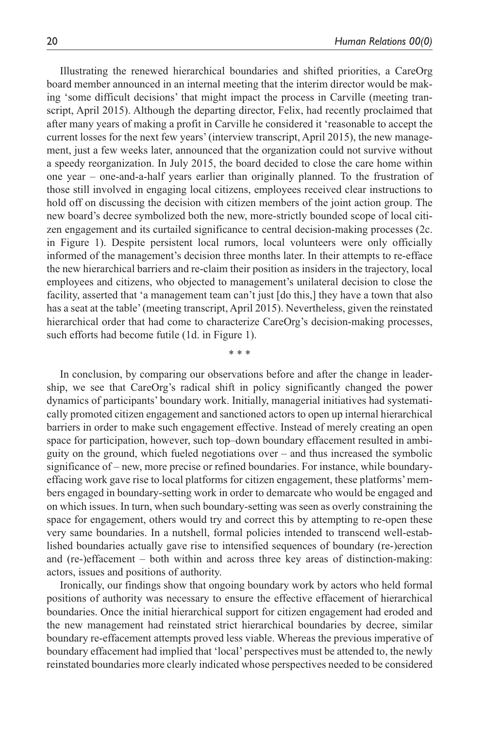Illustrating the renewed hierarchical boundaries and shifted priorities, a CareOrg board member announced in an internal meeting that the interim director would be making 'some difficult decisions' that might impact the process in Carville (meeting transcript, April 2015). Although the departing director, Felix, had recently proclaimed that after many years of making a profit in Carville he considered it 'reasonable to accept the current losses for the next few years' (interview transcript, April 2015), the new management, just a few weeks later, announced that the organization could not survive without a speedy reorganization. In July 2015, the board decided to close the care home within one year – one-and-a-half years earlier than originally planned. To the frustration of those still involved in engaging local citizens, employees received clear instructions to hold off on discussing the decision with citizen members of the joint action group. The new board's decree symbolized both the new, more-strictly bounded scope of local citizen engagement and its curtailed significance to central decision-making processes (2c. in Figure 1). Despite persistent local rumors, local volunteers were only officially informed of the management's decision three months later. In their attempts to re-efface the new hierarchical barriers and re-claim their position as insiders in the trajectory, local employees and citizens, who objected to management's unilateral decision to close the facility, asserted that 'a management team can't just [do this,] they have a town that also has a seat at the table' (meeting transcript, April 2015). Nevertheless, given the reinstated hierarchical order that had come to characterize CareOrg's decision-making processes, such efforts had become futile (1d. in Figure 1).

In conclusion, by comparing our observations before and after the change in leadership, we see that CareOrg's radical shift in policy significantly changed the power dynamics of participants' boundary work. Initially, managerial initiatives had systematically promoted citizen engagement and sanctioned actors to open up internal hierarchical barriers in order to make such engagement effective. Instead of merely creating an open space for participation, however, such top–down boundary effacement resulted in ambiguity on the ground, which fueled negotiations over – and thus increased the symbolic significance of – new, more precise or refined boundaries. For instance, while boundaryeffacing work gave rise to local platforms for citizen engagement, these platforms' members engaged in boundary-setting work in order to demarcate who would be engaged and on which issues. In turn, when such boundary-setting was seen as overly constraining the space for engagement, others would try and correct this by attempting to re-open these very same boundaries. In a nutshell, formal policies intended to transcend well-established boundaries actually gave rise to intensified sequences of boundary (re-)erection and (re-)effacement – both within and across three key areas of distinction-making: actors, issues and positions of authority.

\* \* \*

Ironically, our findings show that ongoing boundary work by actors who held formal positions of authority was necessary to ensure the effective effacement of hierarchical boundaries. Once the initial hierarchical support for citizen engagement had eroded and the new management had reinstated strict hierarchical boundaries by decree, similar boundary re-effacement attempts proved less viable. Whereas the previous imperative of boundary effacement had implied that 'local' perspectives must be attended to, the newly reinstated boundaries more clearly indicated whose perspectives needed to be considered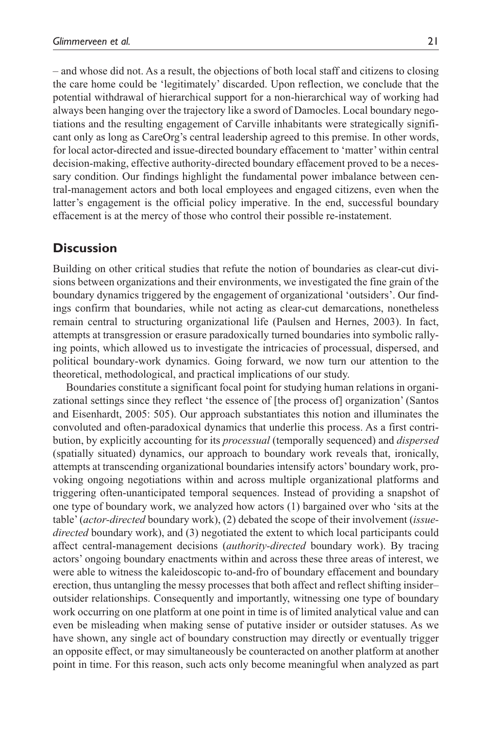– and whose did not. As a result, the objections of both local staff and citizens to closing the care home could be 'legitimately' discarded. Upon reflection, we conclude that the potential withdrawal of hierarchical support for a non-hierarchical way of working had always been hanging over the trajectory like a sword of Damocles. Local boundary negotiations and the resulting engagement of Carville inhabitants were strategically significant only as long as CareOrg's central leadership agreed to this premise. In other words, for local actor-directed and issue-directed boundary effacement to 'matter' within central decision-making, effective authority-directed boundary effacement proved to be a necessary condition. Our findings highlight the fundamental power imbalance between central-management actors and both local employees and engaged citizens, even when the latter's engagement is the official policy imperative. In the end, successful boundary effacement is at the mercy of those who control their possible re-instatement.

## **Discussion**

Building on other critical studies that refute the notion of boundaries as clear-cut divisions between organizations and their environments, we investigated the fine grain of the boundary dynamics triggered by the engagement of organizational 'outsiders'. Our findings confirm that boundaries, while not acting as clear-cut demarcations, nonetheless remain central to structuring organizational life (Paulsen and Hernes, 2003). In fact, attempts at transgression or erasure paradoxically turned boundaries into symbolic rallying points, which allowed us to investigate the intricacies of processual, dispersed, and political boundary-work dynamics. Going forward, we now turn our attention to the theoretical, methodological, and practical implications of our study.

Boundaries constitute a significant focal point for studying human relations in organizational settings since they reflect 'the essence of [the process of] organization' (Santos and Eisenhardt, 2005: 505). Our approach substantiates this notion and illuminates the convoluted and often-paradoxical dynamics that underlie this process. As a first contribution, by explicitly accounting for its *processual* (temporally sequenced) and *dispersed* (spatially situated) dynamics, our approach to boundary work reveals that, ironically, attempts at transcending organizational boundaries intensify actors' boundary work, provoking ongoing negotiations within and across multiple organizational platforms and triggering often-unanticipated temporal sequences. Instead of providing a snapshot of one type of boundary work, we analyzed how actors (1) bargained over who 'sits at the table' (*actor-directed* boundary work), (2) debated the scope of their involvement (*issuedirected* boundary work), and (3) negotiated the extent to which local participants could affect central-management decisions (*authority-directed* boundary work). By tracing actors' ongoing boundary enactments within and across these three areas of interest, we were able to witness the kaleidoscopic to-and-fro of boundary effacement and boundary erection, thus untangling the messy processes that both affect and reflect shifting insider– outsider relationships. Consequently and importantly, witnessing one type of boundary work occurring on one platform at one point in time is of limited analytical value and can even be misleading when making sense of putative insider or outsider statuses. As we have shown, any single act of boundary construction may directly or eventually trigger an opposite effect, or may simultaneously be counteracted on another platform at another point in time. For this reason, such acts only become meaningful when analyzed as part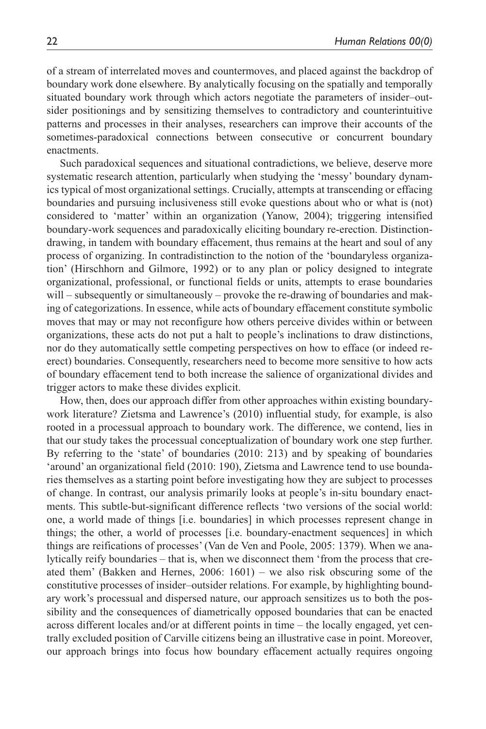of a stream of interrelated moves and countermoves, and placed against the backdrop of boundary work done elsewhere. By analytically focusing on the spatially and temporally situated boundary work through which actors negotiate the parameters of insider–outsider positionings and by sensitizing themselves to contradictory and counterintuitive patterns and processes in their analyses, researchers can improve their accounts of the sometimes-paradoxical connections between consecutive or concurrent boundary enactments.

Such paradoxical sequences and situational contradictions, we believe, deserve more systematic research attention, particularly when studying the 'messy' boundary dynamics typical of most organizational settings. Crucially, attempts at transcending or effacing boundaries and pursuing inclusiveness still evoke questions about who or what is (not) considered to 'matter' within an organization (Yanow, 2004); triggering intensified boundary-work sequences and paradoxically eliciting boundary re-erection. Distinctiondrawing, in tandem with boundary effacement, thus remains at the heart and soul of any process of organizing. In contradistinction to the notion of the 'boundaryless organization' (Hirschhorn and Gilmore, 1992) or to any plan or policy designed to integrate organizational, professional, or functional fields or units, attempts to erase boundaries will – subsequently or simultaneously – provoke the re-drawing of boundaries and making of categorizations. In essence, while acts of boundary effacement constitute symbolic moves that may or may not reconfigure how others perceive divides within or between organizations, these acts do not put a halt to people's inclinations to draw distinctions, nor do they automatically settle competing perspectives on how to efface (or indeed reerect) boundaries. Consequently, researchers need to become more sensitive to how acts of boundary effacement tend to both increase the salience of organizational divides and trigger actors to make these divides explicit.

How, then, does our approach differ from other approaches within existing boundarywork literature? Zietsma and Lawrence's (2010) influential study, for example, is also rooted in a processual approach to boundary work. The difference, we contend, lies in that our study takes the processual conceptualization of boundary work one step further. By referring to the 'state' of boundaries (2010: 213) and by speaking of boundaries 'around' an organizational field (2010: 190), Zietsma and Lawrence tend to use boundaries themselves as a starting point before investigating how they are subject to processes of change. In contrast, our analysis primarily looks at people's in-situ boundary enactments. This subtle-but-significant difference reflects 'two versions of the social world: one, a world made of things [i.e. boundaries] in which processes represent change in things; the other, a world of processes [i.e. boundary-enactment sequences] in which things are reifications of processes' (Van de Ven and Poole, 2005: 1379). When we analytically reify boundaries – that is, when we disconnect them 'from the process that created them' (Bakken and Hernes, 2006: 1601) – we also risk obscuring some of the constitutive processes of insider–outsider relations. For example, by highlighting boundary work's processual and dispersed nature, our approach sensitizes us to both the possibility and the consequences of diametrically opposed boundaries that can be enacted across different locales and/or at different points in time – the locally engaged, yet centrally excluded position of Carville citizens being an illustrative case in point. Moreover, our approach brings into focus how boundary effacement actually requires ongoing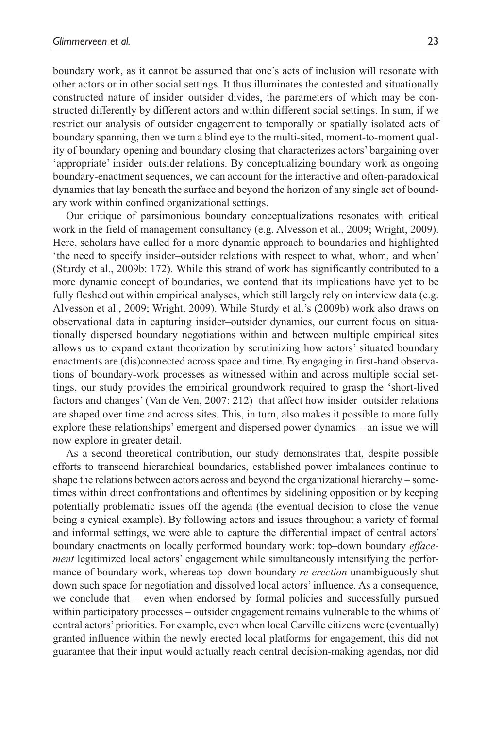boundary work, as it cannot be assumed that one's acts of inclusion will resonate with other actors or in other social settings. It thus illuminates the contested and situationally constructed nature of insider–outsider divides, the parameters of which may be constructed differently by different actors and within different social settings. In sum, if we restrict our analysis of outsider engagement to temporally or spatially isolated acts of boundary spanning, then we turn a blind eye to the multi-sited, moment-to-moment quality of boundary opening and boundary closing that characterizes actors' bargaining over 'appropriate' insider–outsider relations. By conceptualizing boundary work as ongoing boundary-enactment sequences, we can account for the interactive and often-paradoxical dynamics that lay beneath the surface and beyond the horizon of any single act of boundary work within confined organizational settings.

Our critique of parsimonious boundary conceptualizations resonates with critical work in the field of management consultancy (e.g. Alvesson et al., 2009; Wright, 2009). Here, scholars have called for a more dynamic approach to boundaries and highlighted 'the need to specify insider–outsider relations with respect to what, whom, and when' (Sturdy et al., 2009b: 172). While this strand of work has significantly contributed to a more dynamic concept of boundaries, we contend that its implications have yet to be fully fleshed out within empirical analyses, which still largely rely on interview data (e.g. Alvesson et al., 2009; Wright, 2009). While Sturdy et al.'s (2009b) work also draws on observational data in capturing insider–outsider dynamics, our current focus on situationally dispersed boundary negotiations within and between multiple empirical sites allows us to expand extant theorization by scrutinizing how actors' situated boundary enactments are (dis)connected across space and time. By engaging in first-hand observations of boundary-work processes as witnessed within and across multiple social settings, our study provides the empirical groundwork required to grasp the 'short-lived factors and changes' (Van de Ven, 2007: 212) that affect how insider–outsider relations are shaped over time and across sites. This, in turn, also makes it possible to more fully explore these relationships' emergent and dispersed power dynamics – an issue we will now explore in greater detail.

As a second theoretical contribution, our study demonstrates that, despite possible efforts to transcend hierarchical boundaries, established power imbalances continue to shape the relations between actors across and beyond the organizational hierarchy – sometimes within direct confrontations and oftentimes by sidelining opposition or by keeping potentially problematic issues off the agenda (the eventual decision to close the venue being a cynical example). By following actors and issues throughout a variety of formal and informal settings, we were able to capture the differential impact of central actors' boundary enactments on locally performed boundary work: top–down boundary *effacement* legitimized local actors' engagement while simultaneously intensifying the performance of boundary work, whereas top–down boundary *re-erection* unambiguously shut down such space for negotiation and dissolved local actors' influence. As a consequence, we conclude that – even when endorsed by formal policies and successfully pursued within participatory processes – outsider engagement remains vulnerable to the whims of central actors' priorities. For example, even when local Carville citizens were (eventually) granted influence within the newly erected local platforms for engagement, this did not guarantee that their input would actually reach central decision-making agendas, nor did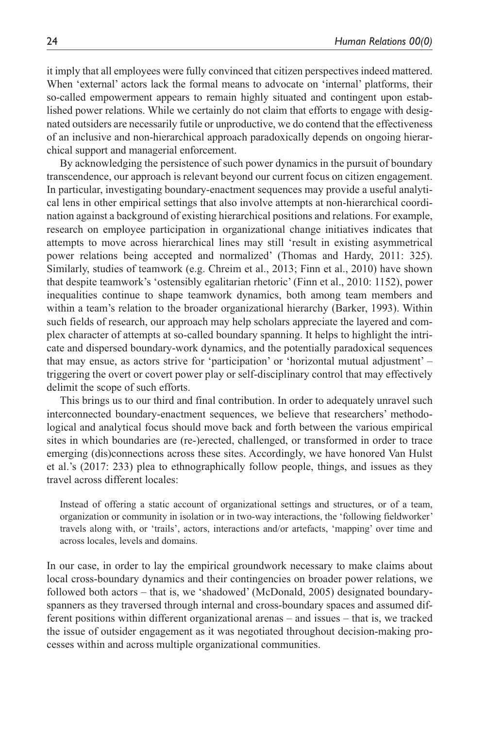it imply that all employees were fully convinced that citizen perspectives indeed mattered. When 'external' actors lack the formal means to advocate on 'internal' platforms, their so-called empowerment appears to remain highly situated and contingent upon established power relations. While we certainly do not claim that efforts to engage with designated outsiders are necessarily futile or unproductive, we do contend that the effectiveness of an inclusive and non-hierarchical approach paradoxically depends on ongoing hierarchical support and managerial enforcement.

By acknowledging the persistence of such power dynamics in the pursuit of boundary transcendence, our approach is relevant beyond our current focus on citizen engagement. In particular, investigating boundary-enactment sequences may provide a useful analytical lens in other empirical settings that also involve attempts at non-hierarchical coordination against a background of existing hierarchical positions and relations. For example, research on employee participation in organizational change initiatives indicates that attempts to move across hierarchical lines may still 'result in existing asymmetrical power relations being accepted and normalized' (Thomas and Hardy, 2011: 325). Similarly, studies of teamwork (e.g. Chreim et al., 2013; Finn et al., 2010) have shown that despite teamwork's 'ostensibly egalitarian rhetoric' (Finn et al., 2010: 1152), power inequalities continue to shape teamwork dynamics, both among team members and within a team's relation to the broader organizational hierarchy (Barker, 1993). Within such fields of research, our approach may help scholars appreciate the layered and complex character of attempts at so-called boundary spanning. It helps to highlight the intricate and dispersed boundary-work dynamics, and the potentially paradoxical sequences that may ensue, as actors strive for 'participation' or 'horizontal mutual adjustment' – triggering the overt or covert power play or self-disciplinary control that may effectively delimit the scope of such efforts.

This brings us to our third and final contribution. In order to adequately unravel such interconnected boundary-enactment sequences, we believe that researchers' methodological and analytical focus should move back and forth between the various empirical sites in which boundaries are (re-)erected, challenged, or transformed in order to trace emerging (dis)connections across these sites. Accordingly, we have honored Van Hulst et al.'s (2017: 233) plea to ethnographically follow people, things, and issues as they travel across different locales:

Instead of offering a static account of organizational settings and structures, or of a team, organization or community in isolation or in two-way interactions, the 'following fieldworker' travels along with, or 'trails', actors, interactions and/or artefacts, 'mapping' over time and across locales, levels and domains.

In our case, in order to lay the empirical groundwork necessary to make claims about local cross-boundary dynamics and their contingencies on broader power relations, we followed both actors – that is, we 'shadowed' (McDonald, 2005) designated boundaryspanners as they traversed through internal and cross-boundary spaces and assumed different positions within different organizational arenas – and issues – that is, we tracked the issue of outsider engagement as it was negotiated throughout decision-making processes within and across multiple organizational communities.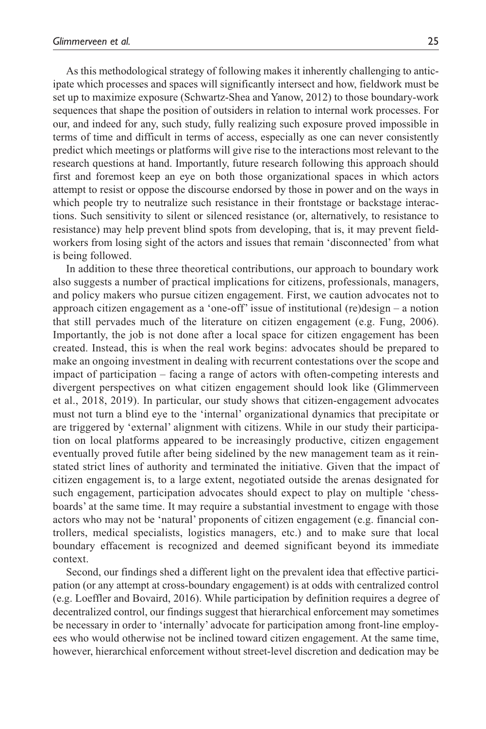As this methodological strategy of following makes it inherently challenging to anticipate which processes and spaces will significantly intersect and how, fieldwork must be set up to maximize exposure (Schwartz-Shea and Yanow, 2012) to those boundary-work sequences that shape the position of outsiders in relation to internal work processes. For our, and indeed for any, such study, fully realizing such exposure proved impossible in terms of time and difficult in terms of access, especially as one can never consistently predict which meetings or platforms will give rise to the interactions most relevant to the research questions at hand. Importantly, future research following this approach should first and foremost keep an eye on both those organizational spaces in which actors attempt to resist or oppose the discourse endorsed by those in power and on the ways in which people try to neutralize such resistance in their frontstage or backstage interactions. Such sensitivity to silent or silenced resistance (or, alternatively, to resistance to resistance) may help prevent blind spots from developing, that is, it may prevent fieldworkers from losing sight of the actors and issues that remain 'disconnected' from what is being followed.

In addition to these three theoretical contributions, our approach to boundary work also suggests a number of practical implications for citizens, professionals, managers, and policy makers who pursue citizen engagement. First, we caution advocates not to approach citizen engagement as a 'one-off' issue of institutional (re)design – a notion that still pervades much of the literature on citizen engagement (e.g. Fung, 2006). Importantly, the job is not done after a local space for citizen engagement has been created. Instead, this is when the real work begins: advocates should be prepared to make an ongoing investment in dealing with recurrent contestations over the scope and impact of participation – facing a range of actors with often-competing interests and divergent perspectives on what citizen engagement should look like (Glimmerveen et al., 2018, 2019). In particular, our study shows that citizen-engagement advocates must not turn a blind eye to the 'internal' organizational dynamics that precipitate or are triggered by 'external' alignment with citizens. While in our study their participation on local platforms appeared to be increasingly productive, citizen engagement eventually proved futile after being sidelined by the new management team as it reinstated strict lines of authority and terminated the initiative. Given that the impact of citizen engagement is, to a large extent, negotiated outside the arenas designated for such engagement, participation advocates should expect to play on multiple 'chessboards' at the same time. It may require a substantial investment to engage with those actors who may not be 'natural' proponents of citizen engagement (e.g. financial controllers, medical specialists, logistics managers, etc.) and to make sure that local boundary effacement is recognized and deemed significant beyond its immediate context.

Second, our findings shed a different light on the prevalent idea that effective participation (or any attempt at cross-boundary engagement) is at odds with centralized control (e.g. Loeffler and Bovaird, 2016). While participation by definition requires a degree of decentralized control, our findings suggest that hierarchical enforcement may sometimes be necessary in order to 'internally' advocate for participation among front-line employees who would otherwise not be inclined toward citizen engagement. At the same time, however, hierarchical enforcement without street-level discretion and dedication may be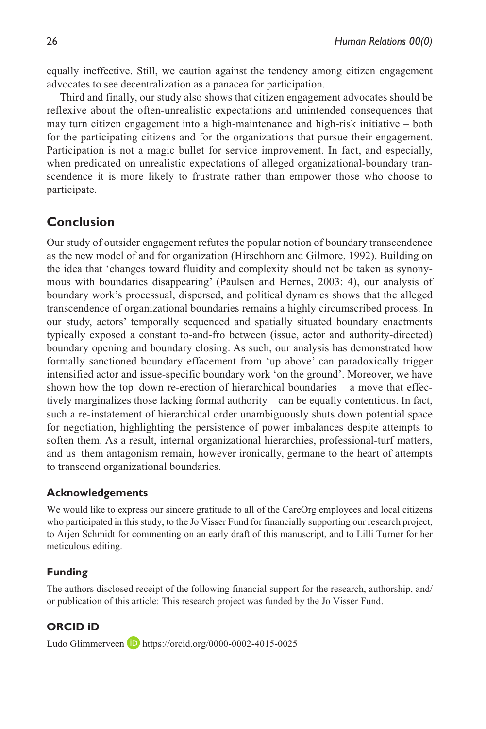equally ineffective. Still, we caution against the tendency among citizen engagement advocates to see decentralization as a panacea for participation.

Third and finally, our study also shows that citizen engagement advocates should be reflexive about the often-unrealistic expectations and unintended consequences that may turn citizen engagement into a high-maintenance and high-risk initiative – both for the participating citizens and for the organizations that pursue their engagement. Participation is not a magic bullet for service improvement. In fact, and especially, when predicated on unrealistic expectations of alleged organizational-boundary transcendence it is more likely to frustrate rather than empower those who choose to participate.

## **Conclusion**

Our study of outsider engagement refutes the popular notion of boundary transcendence as the new model of and for organization (Hirschhorn and Gilmore, 1992). Building on the idea that 'changes toward fluidity and complexity should not be taken as synonymous with boundaries disappearing' (Paulsen and Hernes, 2003: 4), our analysis of boundary work's processual, dispersed, and political dynamics shows that the alleged transcendence of organizational boundaries remains a highly circumscribed process. In our study, actors' temporally sequenced and spatially situated boundary enactments typically exposed a constant to-and-fro between (issue, actor and authority-directed) boundary opening and boundary closing. As such, our analysis has demonstrated how formally sanctioned boundary effacement from 'up above' can paradoxically trigger intensified actor and issue-specific boundary work 'on the ground'. Moreover, we have shown how the top–down re-erection of hierarchical boundaries – a move that effectively marginalizes those lacking formal authority – can be equally contentious. In fact, such a re-instatement of hierarchical order unambiguously shuts down potential space for negotiation, highlighting the persistence of power imbalances despite attempts to soften them. As a result, internal organizational hierarchies, professional-turf matters, and us–them antagonism remain, however ironically, germane to the heart of attempts to transcend organizational boundaries.

#### **Acknowledgements**

We would like to express our sincere gratitude to all of the CareOrg employees and local citizens who participated in this study, to the Jo Visser Fund for financially supporting our research project, to Arjen Schmidt for commenting on an early draft of this manuscript, and to Lilli Turner for her meticulous editing.

### **Funding**

The authors disclosed receipt of the following financial support for the research, authorship, and/ or publication of this article: This research project was funded by the Jo Visser Fund.

### **ORCID iD**

Ludo Glimmerveen **b** <https://orcid.org/0000-0002-4015-0025>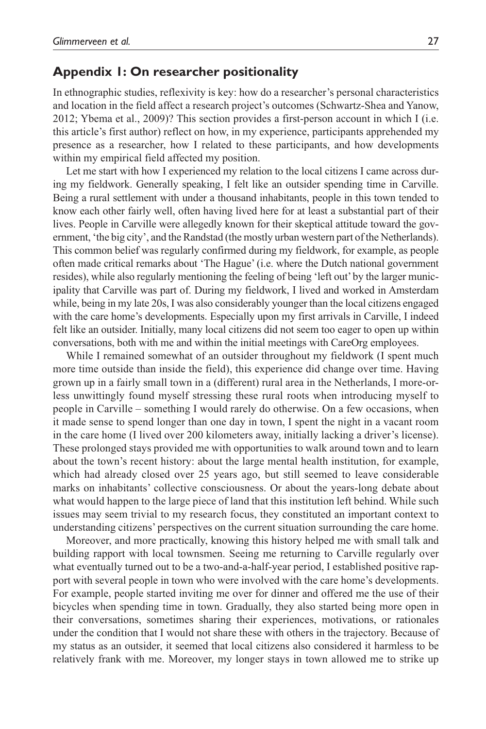### **Appendix 1: On researcher positionality**

In ethnographic studies, reflexivity is key: how do a researcher's personal characteristics and location in the field affect a research project's outcomes (Schwartz-Shea and Yanow, 2012; Ybema et al., 2009)? This section provides a first-person account in which I (i.e. this article's first author) reflect on how, in my experience, participants apprehended my presence as a researcher, how I related to these participants, and how developments within my empirical field affected my position.

Let me start with how I experienced my relation to the local citizens I came across during my fieldwork. Generally speaking, I felt like an outsider spending time in Carville. Being a rural settlement with under a thousand inhabitants, people in this town tended to know each other fairly well, often having lived here for at least a substantial part of their lives. People in Carville were allegedly known for their skeptical attitude toward the government, 'the big city', and the Randstad (the mostly urban western part of the Netherlands). This common belief was regularly confirmed during my fieldwork, for example, as people often made critical remarks about 'The Hague' (i.e. where the Dutch national government resides), while also regularly mentioning the feeling of being 'left out' by the larger municipality that Carville was part of. During my fieldwork, I lived and worked in Amsterdam while, being in my late 20s, I was also considerably younger than the local citizens engaged with the care home's developments. Especially upon my first arrivals in Carville, I indeed felt like an outsider. Initially, many local citizens did not seem too eager to open up within conversations, both with me and within the initial meetings with CareOrg employees.

While I remained somewhat of an outsider throughout my fieldwork (I spent much more time outside than inside the field), this experience did change over time. Having grown up in a fairly small town in a (different) rural area in the Netherlands, I more-orless unwittingly found myself stressing these rural roots when introducing myself to people in Carville – something I would rarely do otherwise. On a few occasions, when it made sense to spend longer than one day in town, I spent the night in a vacant room in the care home (I lived over 200 kilometers away, initially lacking a driver's license). These prolonged stays provided me with opportunities to walk around town and to learn about the town's recent history: about the large mental health institution, for example, which had already closed over 25 years ago, but still seemed to leave considerable marks on inhabitants' collective consciousness. Or about the years-long debate about what would happen to the large piece of land that this institution left behind. While such issues may seem trivial to my research focus, they constituted an important context to understanding citizens' perspectives on the current situation surrounding the care home.

Moreover, and more practically, knowing this history helped me with small talk and building rapport with local townsmen. Seeing me returning to Carville regularly over what eventually turned out to be a two-and-a-half-year period, I established positive rapport with several people in town who were involved with the care home's developments. For example, people started inviting me over for dinner and offered me the use of their bicycles when spending time in town. Gradually, they also started being more open in their conversations, sometimes sharing their experiences, motivations, or rationales under the condition that I would not share these with others in the trajectory. Because of my status as an outsider, it seemed that local citizens also considered it harmless to be relatively frank with me. Moreover, my longer stays in town allowed me to strike up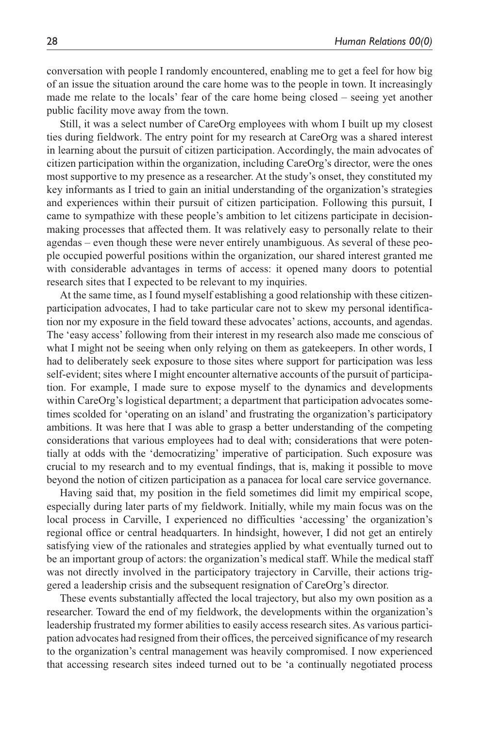conversation with people I randomly encountered, enabling me to get a feel for how big of an issue the situation around the care home was to the people in town. It increasingly made me relate to the locals' fear of the care home being closed – seeing yet another public facility move away from the town.

Still, it was a select number of CareOrg employees with whom I built up my closest ties during fieldwork. The entry point for my research at CareOrg was a shared interest in learning about the pursuit of citizen participation. Accordingly, the main advocates of citizen participation within the organization, including CareOrg's director, were the ones most supportive to my presence as a researcher. At the study's onset, they constituted my key informants as I tried to gain an initial understanding of the organization's strategies and experiences within their pursuit of citizen participation. Following this pursuit, I came to sympathize with these people's ambition to let citizens participate in decisionmaking processes that affected them. It was relatively easy to personally relate to their agendas – even though these were never entirely unambiguous. As several of these people occupied powerful positions within the organization, our shared interest granted me with considerable advantages in terms of access: it opened many doors to potential research sites that I expected to be relevant to my inquiries.

At the same time, as I found myself establishing a good relationship with these citizenparticipation advocates, I had to take particular care not to skew my personal identification nor my exposure in the field toward these advocates' actions, accounts, and agendas. The 'easy access' following from their interest in my research also made me conscious of what I might not be seeing when only relying on them as gatekeepers. In other words, I had to deliberately seek exposure to those sites where support for participation was less self-evident; sites where I might encounter alternative accounts of the pursuit of participation. For example, I made sure to expose myself to the dynamics and developments within CareOrg's logistical department; a department that participation advocates sometimes scolded for 'operating on an island' and frustrating the organization's participatory ambitions. It was here that I was able to grasp a better understanding of the competing considerations that various employees had to deal with; considerations that were potentially at odds with the 'democratizing' imperative of participation. Such exposure was crucial to my research and to my eventual findings, that is, making it possible to move beyond the notion of citizen participation as a panacea for local care service governance.

Having said that, my position in the field sometimes did limit my empirical scope, especially during later parts of my fieldwork. Initially, while my main focus was on the local process in Carville, I experienced no difficulties 'accessing' the organization's regional office or central headquarters. In hindsight, however, I did not get an entirely satisfying view of the rationales and strategies applied by what eventually turned out to be an important group of actors: the organization's medical staff. While the medical staff was not directly involved in the participatory trajectory in Carville, their actions triggered a leadership crisis and the subsequent resignation of CareOrg's director.

These events substantially affected the local trajectory, but also my own position as a researcher. Toward the end of my fieldwork, the developments within the organization's leadership frustrated my former abilities to easily access research sites. As various participation advocates had resigned from their offices, the perceived significance of my research to the organization's central management was heavily compromised. I now experienced that accessing research sites indeed turned out to be 'a continually negotiated process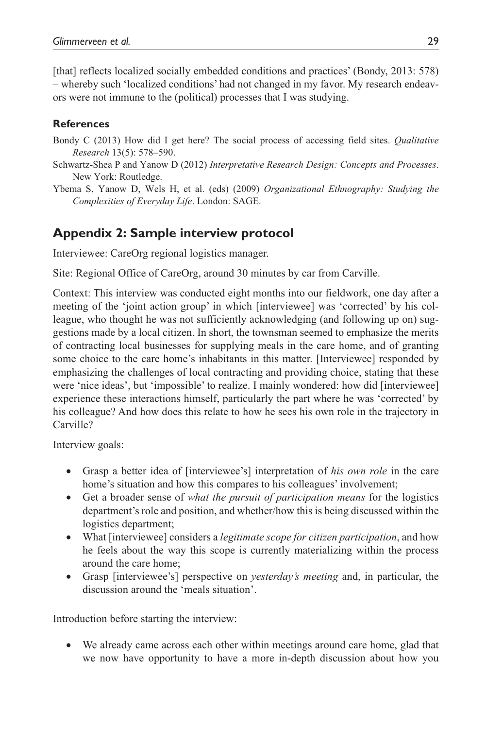[that] reflects localized socially embedded conditions and practices' (Bondy, 2013: 578) – whereby such 'localized conditions' had not changed in my favor. My research endeavors were not immune to the (political) processes that I was studying.

## **References**

- Bondy C (2013) How did I get here? The social process of accessing field sites. *Qualitative Research* 13(5): 578–590.
- Schwartz-Shea P and Yanow D (2012) *Interpretative Research Design: Concepts and Processes*. New York: Routledge.
- Ybema S, Yanow D, Wels H, et al. (eds) (2009) *Organizational Ethnography: Studying the Complexities of Everyday Life*. London: SAGE.

## **Appendix 2: Sample interview protocol**

Interviewee: CareOrg regional logistics manager.

Site: Regional Office of CareOrg, around 30 minutes by car from Carville.

Context: This interview was conducted eight months into our fieldwork, one day after a meeting of the 'joint action group' in which [interviewee] was 'corrected' by his colleague, who thought he was not sufficiently acknowledging (and following up on) suggestions made by a local citizen. In short, the townsman seemed to emphasize the merits of contracting local businesses for supplying meals in the care home, and of granting some choice to the care home's inhabitants in this matter. [Interviewee] responded by emphasizing the challenges of local contracting and providing choice, stating that these were 'nice ideas', but 'impossible' to realize. I mainly wondered: how did [interviewee] experience these interactions himself, particularly the part where he was 'corrected' by his colleague? And how does this relate to how he sees his own role in the trajectory in Carville?

Interview goals:

- Grasp a better idea of [interviewee's] interpretation of *his own role* in the care home's situation and how this compares to his colleagues' involvement;
- Get a broader sense of *what the pursuit of participation means* for the logistics department's role and position, and whether/how this is being discussed within the logistics department;
- What [interviewee] considers a *legitimate scope for citizen participation*, and how he feels about the way this scope is currently materializing within the process around the care home;
- Grasp [interviewee's] perspective on *yesterday's meeting* and, in particular, the discussion around the 'meals situation'.

Introduction before starting the interview:

• We already came across each other within meetings around care home, glad that we now have opportunity to have a more in-depth discussion about how you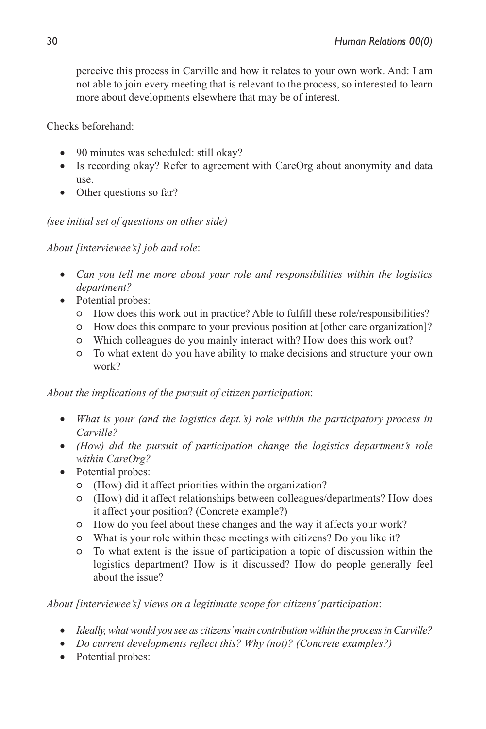perceive this process in Carville and how it relates to your own work. And: I am not able to join every meeting that is relevant to the process, so interested to learn more about developments elsewhere that may be of interest.

Checks beforehand:

- 90 minutes was scheduled: still okay?
- Is recording okay? Refer to agreement with CareOrg about anonymity and data use.
- Other questions so far?

### *(see initial set of questions on other side)*

*About [interviewee's] job and role*:

- *Can you tell me more about your role and responsibilities within the logistics department?*
- Potential probes:
	- How does this work out in practice? Able to fulfill these role/responsibilities?
	- How does this compare to your previous position at [other care organization]?
	- Which colleagues do you mainly interact with? How does this work out?
	- To what extent do you have ability to make decisions and structure your own work?

*About the implications of the pursuit of citizen participation*:

- *What is your (and the logistics dept.'s) role within the participatory process in Carville?*
- *(How) did the pursuit of participation change the logistics department's role within CareOrg?*
- Potential probes:
	- (How) did it affect priorities within the organization?
	- (How) did it affect relationships between colleagues/departments? How does it affect your position? (Concrete example?)
	- How do you feel about these changes and the way it affects your work?
	- What is your role within these meetings with citizens? Do you like it?
	- To what extent is the issue of participation a topic of discussion within the logistics department? How is it discussed? How do people generally feel about the issue?

*About [interviewee's] views on a legitimate scope for citizens' participation*:

- *Ideally, what would you see as citizens' main contribution within the process in Carville?*
- *Do current developments reflect this? Why (not)? (Concrete examples?)*
- Potential probes: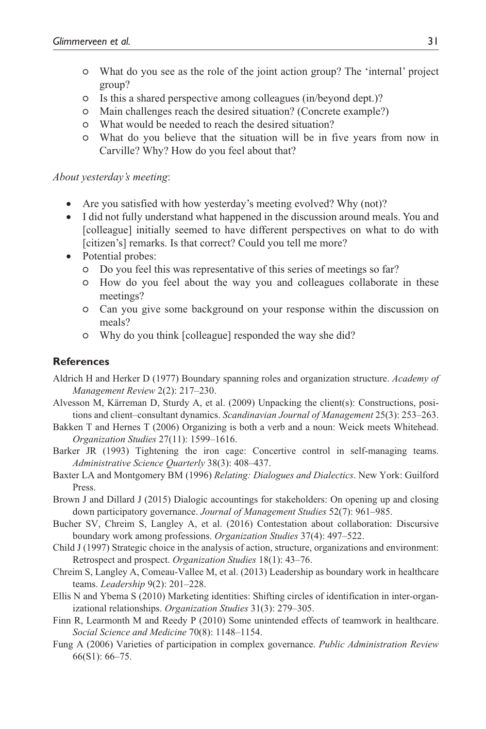- What do you see as the role of the joint action group? The 'internal' project group?
- Is this a shared perspective among colleagues (in/beyond dept.)?
- Main challenges reach the desired situation? (Concrete example?)
- What would be needed to reach the desired situation?
- What do you believe that the situation will be in five years from now in Carville? Why? How do you feel about that?

### *About yesterday's meeting*:

- Are you satisfied with how vesterday's meeting evolved? Why (not)?
- I did not fully understand what happened in the discussion around meals. You and [colleague] initially seemed to have different perspectives on what to do with [citizen's] remarks. Is that correct? Could you tell me more?
- Potential probes:
	- Do you feel this was representative of this series of meetings so far?
	- How do you feel about the way you and colleagues collaborate in these meetings?
	- Can you give some background on your response within the discussion on meals?
	- Why do you think [colleague] responded the way she did?

## **References**

- Aldrich H and Herker D (1977) Boundary spanning roles and organization structure. *Academy of Management Review* 2(2): 217–230.
- Alvesson M, Kärreman D, Sturdy A, et al. (2009) Unpacking the client(s): Constructions, positions and client–consultant dynamics. *Scandinavian Journal of Management* 25(3): 253–263.
- Bakken T and Hernes T (2006) Organizing is both a verb and a noun: Weick meets Whitehead. *Organization Studies* 27(11): 1599–1616.
- Barker JR (1993) Tightening the iron cage: Concertive control in self-managing teams. *Administrative Science Quarterly* 38(3): 408–437.
- Baxter LA and Montgomery BM (1996) *Relating: Dialogues and Dialectics*. New York: Guilford Press.
- Brown J and Dillard J (2015) Dialogic accountings for stakeholders: On opening up and closing down participatory governance. *Journal of Management Studies* 52(7): 961–985.
- Bucher SV, Chreim S, Langley A, et al. (2016) Contestation about collaboration: Discursive boundary work among professions. *Organization Studies* 37(4): 497–522.
- Child J (1997) Strategic choice in the analysis of action, structure, organizations and environment: Retrospect and prospect. *Organization Studies* 18(1): 43–76.
- Chreim S, Langley A, Comeau-Vallee M, et al. (2013) Leadership as boundary work in healthcare teams. *Leadership* 9(2): 201–228.
- Ellis N and Ybema S (2010) Marketing identities: Shifting circles of identification in inter-organizational relationships. *Organization Studies* 31(3): 279–305.
- Finn R, Learmonth M and Reedy P (2010) Some unintended effects of teamwork in healthcare. *Social Science and Medicine* 70(8): 1148–1154.
- Fung A (2006) Varieties of participation in complex governance. *Public Administration Review* 66(S1): 66–75.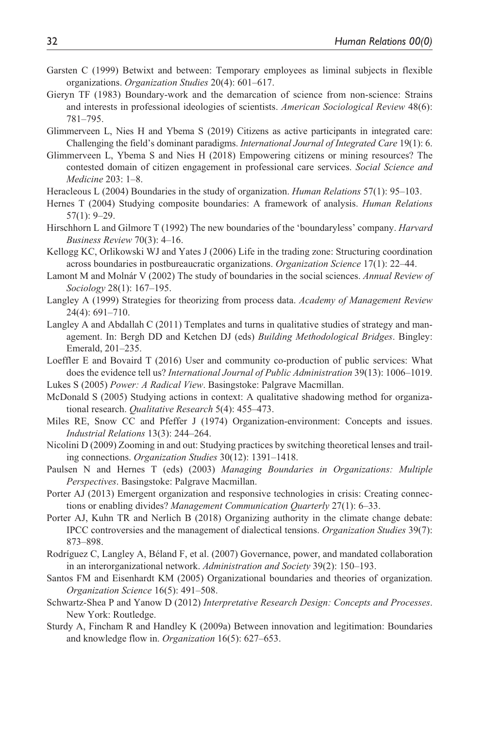- Garsten C (1999) Betwixt and between: Temporary employees as liminal subjects in flexible organizations. *Organization Studies* 20(4): 601–617.
- Gieryn TF (1983) Boundary-work and the demarcation of science from non-science: Strains and interests in professional ideologies of scientists. *American Sociological Review* 48(6): 781–795.
- Glimmerveen L, Nies H and Ybema S (2019) Citizens as active participants in integrated care: Challenging the field's dominant paradigms. *International Journal of Integrated Care* 19(1): 6.
- Glimmerveen L, Ybema S and Nies H (2018) Empowering citizens or mining resources? The contested domain of citizen engagement in professional care services. *Social Science and Medicine* 203: 1–8.
- Heracleous L (2004) Boundaries in the study of organization. *Human Relations* 57(1): 95–103.
- Hernes T (2004) Studying composite boundaries: A framework of analysis. *Human Relations* 57(1): 9–29.
- Hirschhorn L and Gilmore T (1992) The new boundaries of the 'boundaryless' company. *Harvard Business Review* 70(3): 4–16.
- Kellogg KC, Orlikowski WJ and Yates J (2006) Life in the trading zone: Structuring coordination across boundaries in postbureaucratic organizations. *Organization Science* 17(1): 22–44.
- Lamont M and Molnár V (2002) The study of boundaries in the social sciences. *Annual Review of Sociology* 28(1): 167–195.
- Langley A (1999) Strategies for theorizing from process data. *Academy of Management Review* 24(4): 691–710.
- Langley A and Abdallah C (2011) Templates and turns in qualitative studies of strategy and management. In: Bergh DD and Ketchen DJ (eds) *Building Methodological Bridges*. Bingley: Emerald, 201–235.
- Loeffler E and Bovaird T (2016) User and community co-production of public services: What does the evidence tell us? *International Journal of Public Administration* 39(13): 1006–1019.
- Lukes S (2005) *Power: A Radical View*. Basingstoke: Palgrave Macmillan.
- McDonald S (2005) Studying actions in context: A qualitative shadowing method for organizational research. *Qualitative Research* 5(4): 455–473.
- Miles RE, Snow CC and Pfeffer J (1974) Organization-environment: Concepts and issues. *Industrial Relations* 13(3): 244–264.
- Nicolini D (2009) Zooming in and out: Studying practices by switching theoretical lenses and trailing connections. *Organization Studies* 30(12): 1391–1418.
- Paulsen N and Hernes T (eds) (2003) *Managing Boundaries in Organizations: Multiple Perspectives*. Basingstoke: Palgrave Macmillan.
- Porter AJ (2013) Emergent organization and responsive technologies in crisis: Creating connections or enabling divides? *Management Communication Quarterly* 27(1): 6–33.
- Porter AJ, Kuhn TR and Nerlich B (2018) Organizing authority in the climate change debate: IPCC controversies and the management of dialectical tensions. *Organization Studies* 39(7): 873–898.
- Rodríguez C, Langley A, Béland F, et al. (2007) Governance, power, and mandated collaboration in an interorganizational network. *Administration and Society* 39(2): 150–193.
- Santos FM and Eisenhardt KM (2005) Organizational boundaries and theories of organization. *Organization Science* 16(5): 491–508.
- Schwartz-Shea P and Yanow D (2012) *Interpretative Research Design: Concepts and Processes*. New York: Routledge.
- Sturdy A, Fincham R and Handley K (2009a) Between innovation and legitimation: Boundaries and knowledge flow in. *Organization* 16(5): 627–653.